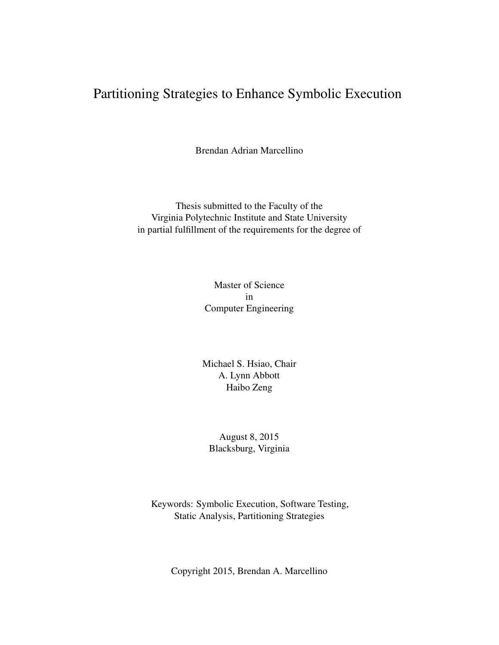## Partitioning Strategies to Enhance Symbolic Execution

Brendan Adrian Marcellino

Thesis submitted to the Faculty of the Virginia Polytechnic Institute and State University in partial fulfillment of the requirements for the degree of

> Master of Science in Computer Engineering

Michael S. Hsiao, Chair A. Lynn Abbott Haibo Zeng

August 8, 2015 Blacksburg, Virginia

Keywords: Symbolic Execution, Software Testing, Static Analysis, Partitioning Strategies

Copyright 2015, Brendan A. Marcellino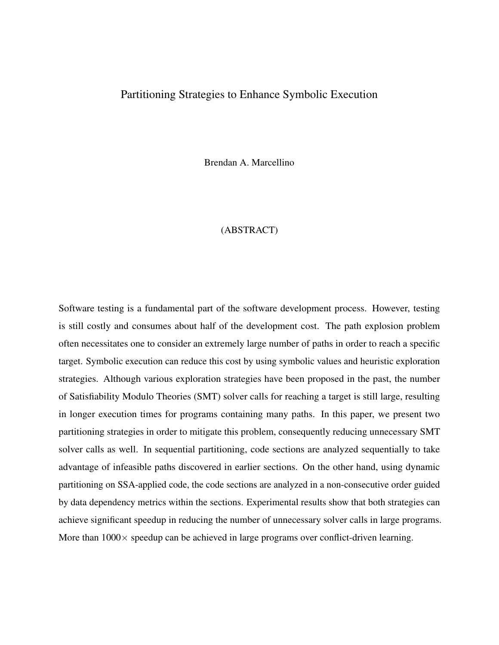#### Partitioning Strategies to Enhance Symbolic Execution

Brendan A. Marcellino

#### (ABSTRACT)

Software testing is a fundamental part of the software development process. However, testing is still costly and consumes about half of the development cost. The path explosion problem often necessitates one to consider an extremely large number of paths in order to reach a specific target. Symbolic execution can reduce this cost by using symbolic values and heuristic exploration strategies. Although various exploration strategies have been proposed in the past, the number of Satisfiability Modulo Theories (SMT) solver calls for reaching a target is still large, resulting in longer execution times for programs containing many paths. In this paper, we present two partitioning strategies in order to mitigate this problem, consequently reducing unnecessary SMT solver calls as well. In sequential partitioning, code sections are analyzed sequentially to take advantage of infeasible paths discovered in earlier sections. On the other hand, using dynamic partitioning on SSA-applied code, the code sections are analyzed in a non-consecutive order guided by data dependency metrics within the sections. Experimental results show that both strategies can achieve significant speedup in reducing the number of unnecessary solver calls in large programs. More than  $1000 \times$  speedup can be achieved in large programs over conflict-driven learning.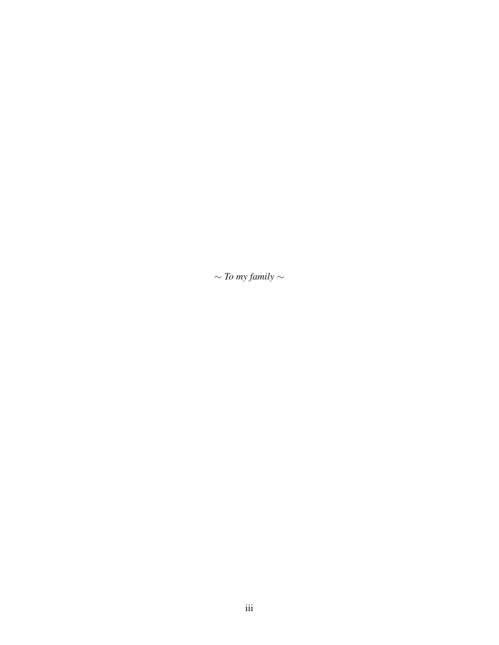∼ *To my family* ∼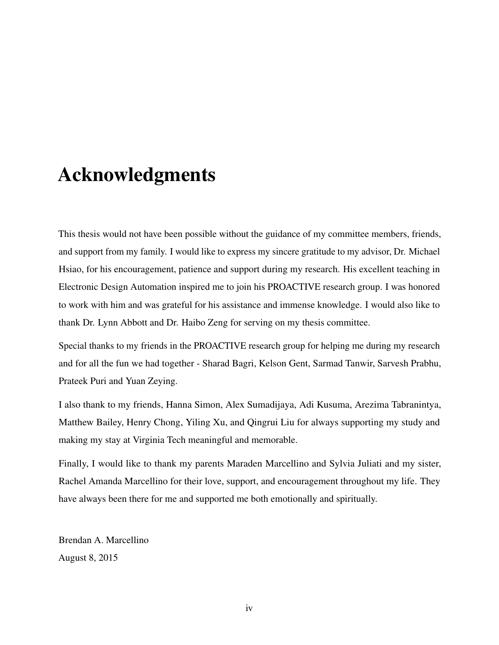## Acknowledgments

This thesis would not have been possible without the guidance of my committee members, friends, and support from my family. I would like to express my sincere gratitude to my advisor, Dr. Michael Hsiao, for his encouragement, patience and support during my research. His excellent teaching in Electronic Design Automation inspired me to join his PROACTIVE research group. I was honored to work with him and was grateful for his assistance and immense knowledge. I would also like to thank Dr. Lynn Abbott and Dr. Haibo Zeng for serving on my thesis committee.

Special thanks to my friends in the PROACTIVE research group for helping me during my research and for all the fun we had together - Sharad Bagri, Kelson Gent, Sarmad Tanwir, Sarvesh Prabhu, Prateek Puri and Yuan Zeying.

I also thank to my friends, Hanna Simon, Alex Sumadijaya, Adi Kusuma, Arezima Tabranintya, Matthew Bailey, Henry Chong, Yiling Xu, and Qingrui Liu for always supporting my study and making my stay at Virginia Tech meaningful and memorable.

Finally, I would like to thank my parents Maraden Marcellino and Sylvia Juliati and my sister, Rachel Amanda Marcellino for their love, support, and encouragement throughout my life. They have always been there for me and supported me both emotionally and spiritually.

Brendan A. Marcellino August 8, 2015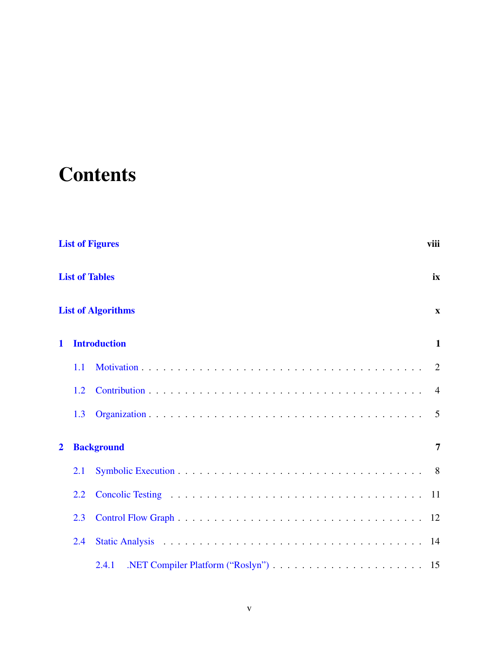# **Contents**

|                | <b>List of Figures</b><br>viii |                           |                |
|----------------|--------------------------------|---------------------------|----------------|
|                |                                | <b>List of Tables</b>     | ix             |
|                |                                | <b>List of Algorithms</b> | $\mathbf{x}$   |
| $\mathbf 1$    |                                | <b>Introduction</b>       | $\mathbf{1}$   |
|                | 1.1                            |                           | 2              |
|                | 1.2                            |                           | $\overline{4}$ |
|                | 1.3                            |                           | $\overline{5}$ |
| $\overline{2}$ |                                | <b>Background</b>         | 7              |
|                | 2.1                            |                           | 8 <sup>8</sup> |
|                | 2.2                            |                           | 11             |
|                | 2.3                            |                           | 12             |
|                | 2.4                            |                           |                |
|                |                                | 2.4.1                     |                |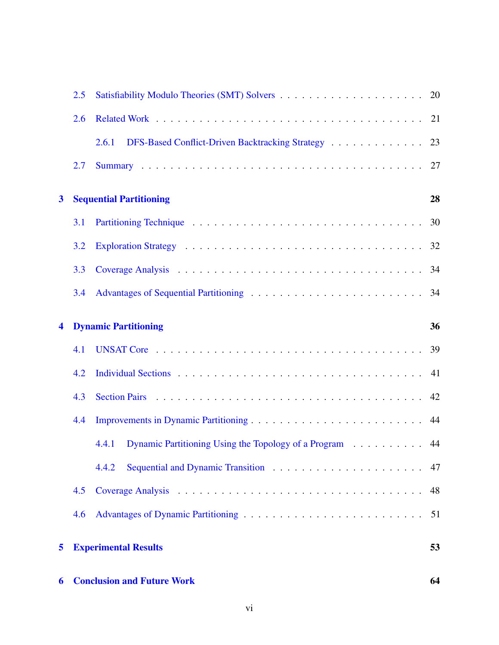| 6                       |     | <b>Conclusion and Future Work</b>                                | 64 |
|-------------------------|-----|------------------------------------------------------------------|----|
| 5                       |     | <b>Experimental Results</b>                                      | 53 |
|                         | 4.6 |                                                                  | 51 |
|                         | 4.5 |                                                                  | 48 |
|                         |     | 4.4.2                                                            | 47 |
|                         |     | Dynamic Partitioning Using the Topology of a Program 44<br>4.4.1 |    |
|                         | 4.4 |                                                                  |    |
|                         | 4.3 |                                                                  |    |
|                         | 4.2 |                                                                  |    |
|                         | 4.1 |                                                                  | 39 |
| 4                       |     | <b>Dynamic Partitioning</b>                                      | 36 |
|                         | 3.4 |                                                                  |    |
|                         | 3.3 |                                                                  |    |
|                         | 3.2 |                                                                  | 32 |
|                         | 3.1 |                                                                  | 30 |
| $\overline{\mathbf{3}}$ |     | <b>Sequential Partitioning</b>                                   | 28 |
|                         | 2.7 |                                                                  |    |
|                         |     | DFS-Based Conflict-Driven Backtracking Strategy 23<br>2.6.1      |    |
|                         | 2.6 |                                                                  |    |
|                         | 2.5 |                                                                  |    |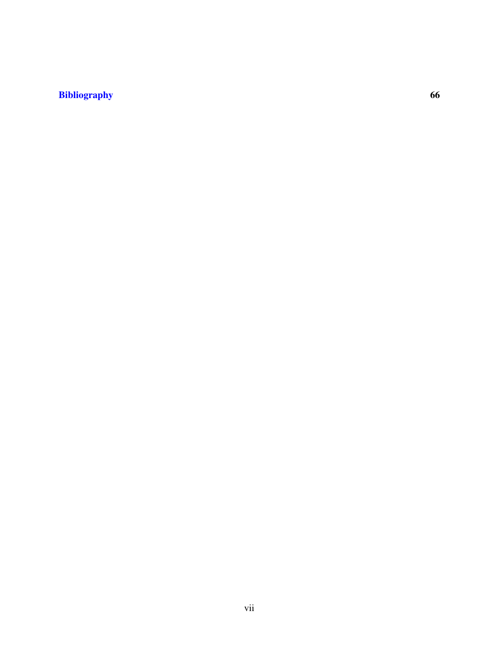#### [Bibliography](#page-75-0) 66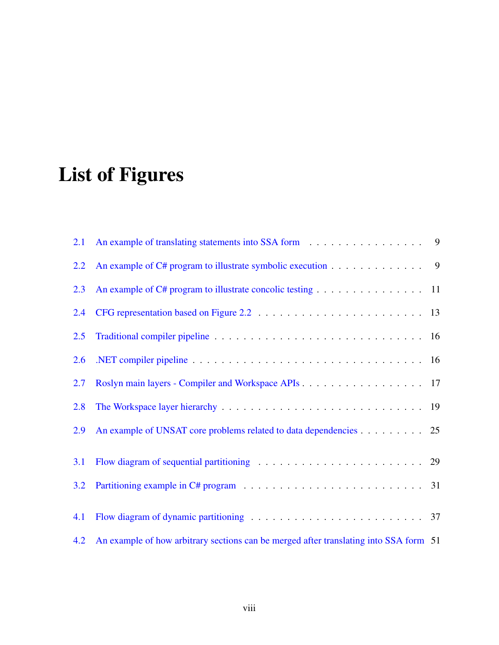# <span id="page-7-0"></span>List of Figures

| 2.1 | An example of translating statements into SSA form 9                                  |  |
|-----|---------------------------------------------------------------------------------------|--|
| 2.2 | An example of C# program to illustrate symbolic execution 9                           |  |
| 2.3 | An example of C# program to illustrate concolic testing 11                            |  |
| 2.4 |                                                                                       |  |
| 2.5 |                                                                                       |  |
| 2.6 |                                                                                       |  |
| 2.7 | Roslyn main layers - Compiler and Workspace APIs 17                                   |  |
| 2.8 |                                                                                       |  |
| 2.9 | An example of UNSAT core problems related to data dependencies 25                     |  |
| 3.1 |                                                                                       |  |
| 3.2 |                                                                                       |  |
|     |                                                                                       |  |
| 4.1 |                                                                                       |  |
| 4.2 | An example of how arbitrary sections can be merged after translating into SSA form 51 |  |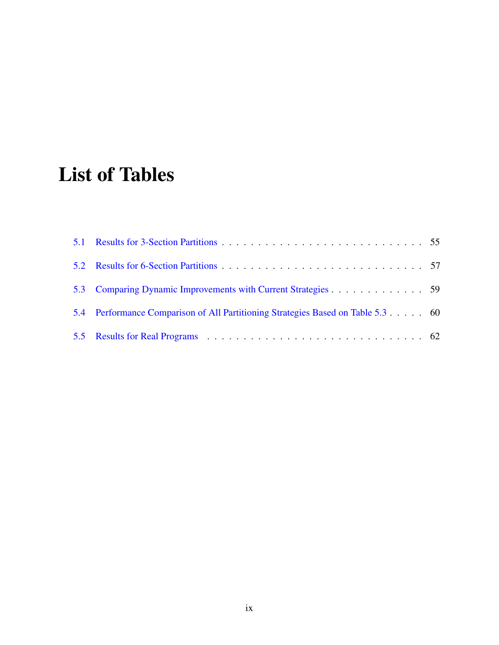# <span id="page-8-0"></span>List of Tables

| 5.3 Comparing Dynamic Improvements with Current Strategies 59                   |  |
|---------------------------------------------------------------------------------|--|
| 5.4 Performance Comparison of All Partitioning Strategies Based on Table 5.3 60 |  |
|                                                                                 |  |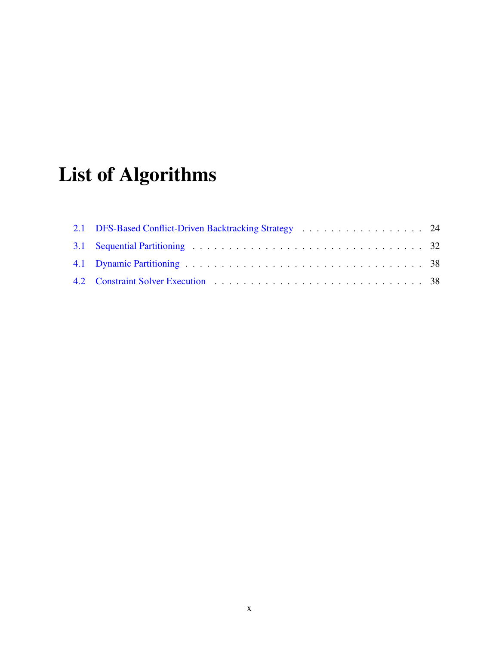# <span id="page-9-0"></span>List of Algorithms

| 2.1 DFS-Based Conflict-Driven Backtracking Strategy 24 |  |
|--------------------------------------------------------|--|
|                                                        |  |
|                                                        |  |
|                                                        |  |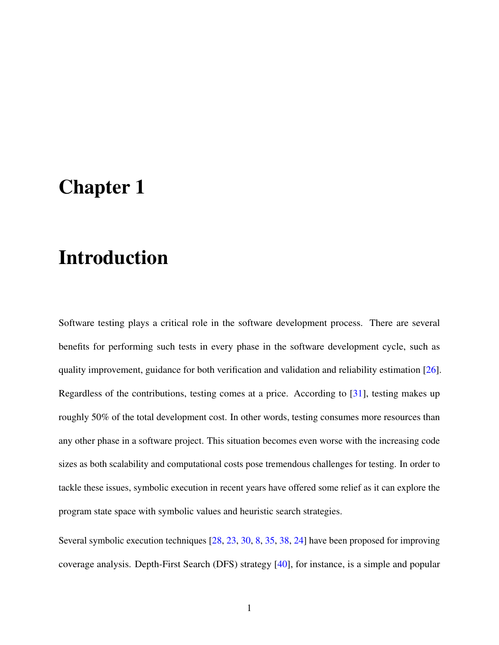## <span id="page-10-0"></span>Chapter 1

## Introduction

Software testing plays a critical role in the software development process. There are several benefits for performing such tests in every phase in the software development cycle, such as quality improvement, guidance for both verification and validation and reliability estimation [\[26\]](#page-78-0). Regardless of the contributions, testing comes at a price. According to [\[31\]](#page-78-1), testing makes up roughly 50% of the total development cost. In other words, testing consumes more resources than any other phase in a software project. This situation becomes even worse with the increasing code sizes as both scalability and computational costs pose tremendous challenges for testing. In order to tackle these issues, symbolic execution in recent years have offered some relief as it can explore the program state space with symbolic values and heuristic search strategies.

Several symbolic execution techniques [\[28,](#page-78-2) [23,](#page-78-3) [30,](#page-78-4) [8,](#page-76-0) [35,](#page-79-0) [38,](#page-79-1) [24\]](#page-78-5) have been proposed for improving coverage analysis. Depth-First Search (DFS) strategy [\[40\]](#page-80-0), for instance, is a simple and popular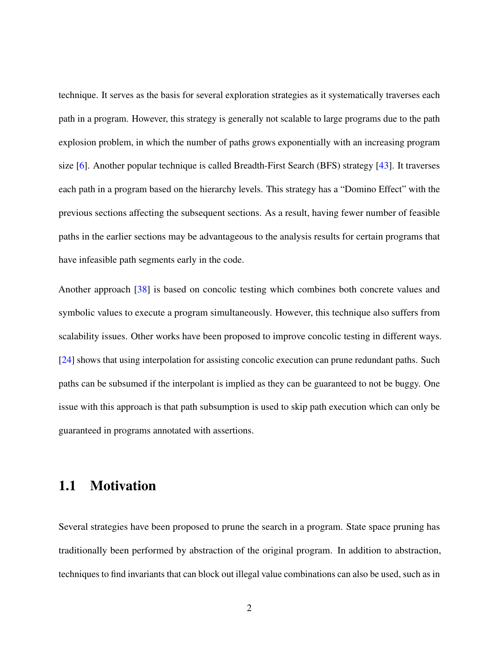technique. It serves as the basis for several exploration strategies as it systematically traverses each path in a program. However, this strategy is generally not scalable to large programs due to the path explosion problem, in which the number of paths grows exponentially with an increasing program size [\[6\]](#page-75-1). Another popular technique is called Breadth-First Search (BFS) strategy [\[43\]](#page-80-1). It traverses each path in a program based on the hierarchy levels. This strategy has a "Domino Effect" with the previous sections affecting the subsequent sections. As a result, having fewer number of feasible paths in the earlier sections may be advantageous to the analysis results for certain programs that have infeasible path segments early in the code.

Another approach [\[38\]](#page-79-1) is based on concolic testing which combines both concrete values and symbolic values to execute a program simultaneously. However, this technique also suffers from scalability issues. Other works have been proposed to improve concolic testing in different ways. [\[24\]](#page-78-5) shows that using interpolation for assisting concolic execution can prune redundant paths. Such paths can be subsumed if the interpolant is implied as they can be guaranteed to not be buggy. One issue with this approach is that path subsumption is used to skip path execution which can only be guaranteed in programs annotated with assertions.

### <span id="page-11-0"></span>1.1 Motivation

Several strategies have been proposed to prune the search in a program. State space pruning has traditionally been performed by abstraction of the original program. In addition to abstraction, techniques to find invariants that can block out illegal value combinations can also be used, such as in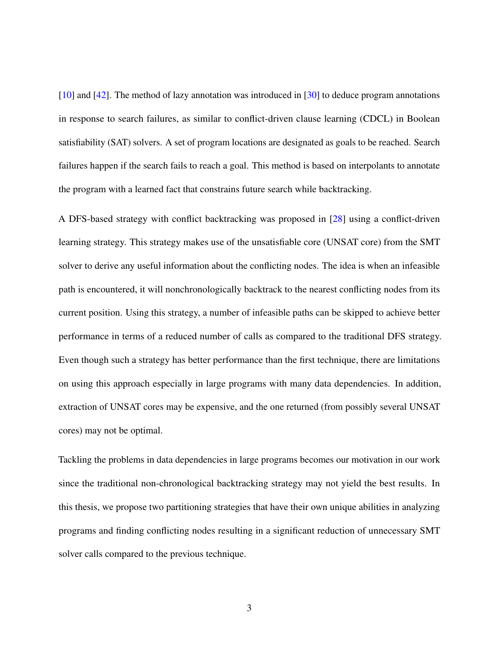[\[10\]](#page-76-1) and [\[42\]](#page-80-2). The method of lazy annotation was introduced in [\[30\]](#page-78-4) to deduce program annotations in response to search failures, as similar to conflict-driven clause learning (CDCL) in Boolean satisfiability (SAT) solvers. A set of program locations are designated as goals to be reached. Search failures happen if the search fails to reach a goal. This method is based on interpolants to annotate the program with a learned fact that constrains future search while backtracking.

A DFS-based strategy with conflict backtracking was proposed in [\[28\]](#page-78-2) using a conflict-driven learning strategy. This strategy makes use of the unsatisfiable core (UNSAT core) from the SMT solver to derive any useful information about the conflicting nodes. The idea is when an infeasible path is encountered, it will nonchronologically backtrack to the nearest conflicting nodes from its current position. Using this strategy, a number of infeasible paths can be skipped to achieve better performance in terms of a reduced number of calls as compared to the traditional DFS strategy. Even though such a strategy has better performance than the first technique, there are limitations on using this approach especially in large programs with many data dependencies. In addition, extraction of UNSAT cores may be expensive, and the one returned (from possibly several UNSAT cores) may not be optimal.

Tackling the problems in data dependencies in large programs becomes our motivation in our work since the traditional non-chronological backtracking strategy may not yield the best results. In this thesis, we propose two partitioning strategies that have their own unique abilities in analyzing programs and finding conflicting nodes resulting in a significant reduction of unnecessary SMT solver calls compared to the previous technique.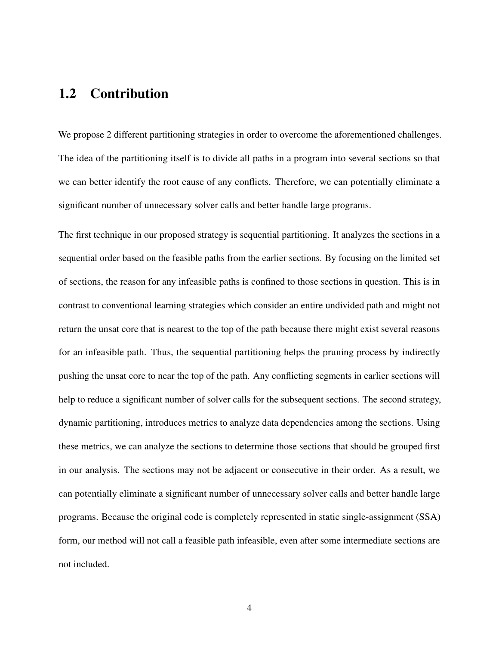### <span id="page-13-0"></span>1.2 Contribution

We propose 2 different partitioning strategies in order to overcome the aforementioned challenges. The idea of the partitioning itself is to divide all paths in a program into several sections so that we can better identify the root cause of any conflicts. Therefore, we can potentially eliminate a significant number of unnecessary solver calls and better handle large programs.

The first technique in our proposed strategy is sequential partitioning. It analyzes the sections in a sequential order based on the feasible paths from the earlier sections. By focusing on the limited set of sections, the reason for any infeasible paths is confined to those sections in question. This is in contrast to conventional learning strategies which consider an entire undivided path and might not return the unsat core that is nearest to the top of the path because there might exist several reasons for an infeasible path. Thus, the sequential partitioning helps the pruning process by indirectly pushing the unsat core to near the top of the path. Any conflicting segments in earlier sections will help to reduce a significant number of solver calls for the subsequent sections. The second strategy, dynamic partitioning, introduces metrics to analyze data dependencies among the sections. Using these metrics, we can analyze the sections to determine those sections that should be grouped first in our analysis. The sections may not be adjacent or consecutive in their order. As a result, we can potentially eliminate a significant number of unnecessary solver calls and better handle large programs. Because the original code is completely represented in static single-assignment (SSA) form, our method will not call a feasible path infeasible, even after some intermediate sections are not included.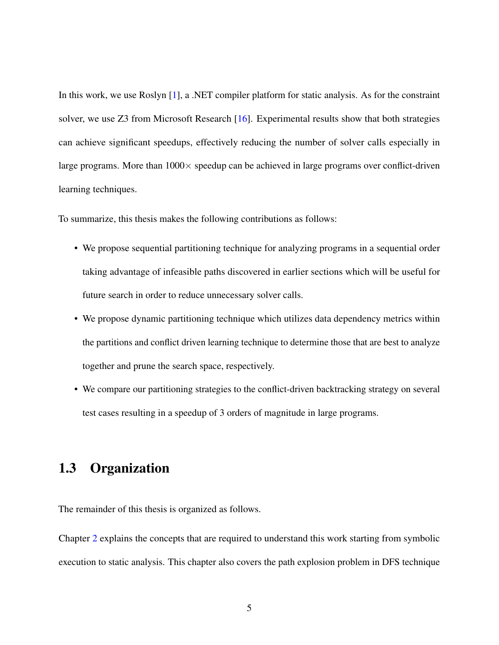In this work, we use Roslyn [\[1\]](#page-75-2), a .NET compiler platform for static analysis. As for the constraint solver, we use Z3 from Microsoft Research [\[16\]](#page-77-0). Experimental results show that both strategies can achieve significant speedups, effectively reducing the number of solver calls especially in large programs. More than  $1000 \times$  speedup can be achieved in large programs over conflict-driven learning techniques.

To summarize, this thesis makes the following contributions as follows:

- We propose sequential partitioning technique for analyzing programs in a sequential order taking advantage of infeasible paths discovered in earlier sections which will be useful for future search in order to reduce unnecessary solver calls.
- We propose dynamic partitioning technique which utilizes data dependency metrics within the partitions and conflict driven learning technique to determine those that are best to analyze together and prune the search space, respectively.
- We compare our partitioning strategies to the conflict-driven backtracking strategy on several test cases resulting in a speedup of 3 orders of magnitude in large programs.

## <span id="page-14-0"></span>1.3 Organization

The remainder of this thesis is organized as follows.

Chapter [2](#page-16-0) explains the concepts that are required to understand this work starting from symbolic execution to static analysis. This chapter also covers the path explosion problem in DFS technique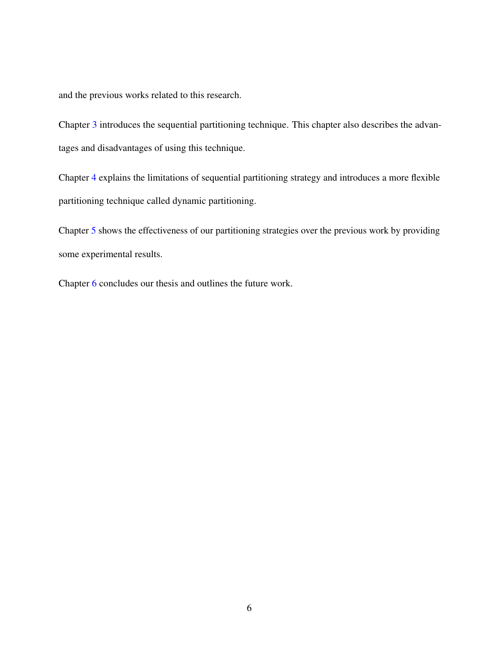and the previous works related to this research.

Chapter [3](#page-37-0) introduces the sequential partitioning technique. This chapter also describes the advantages and disadvantages of using this technique.

Chapter [4](#page-45-0) explains the limitations of sequential partitioning strategy and introduces a more flexible partitioning technique called dynamic partitioning.

Chapter [5](#page-62-0) shows the effectiveness of our partitioning strategies over the previous work by providing some experimental results.

Chapter [6](#page-73-0) concludes our thesis and outlines the future work.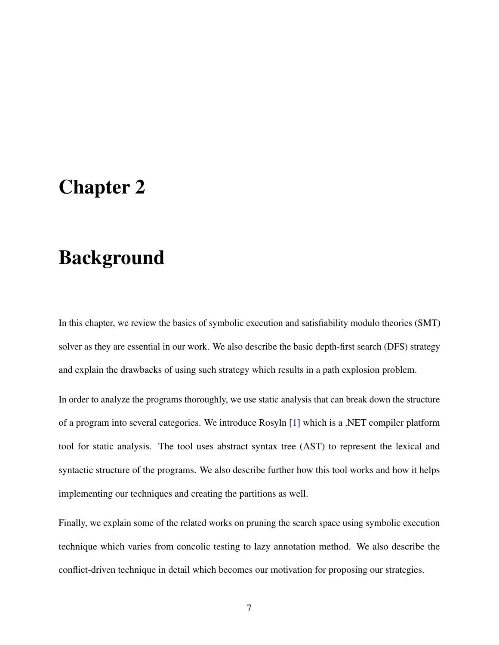## <span id="page-16-0"></span>Chapter 2

## Background

In this chapter, we review the basics of symbolic execution and satisfiability modulo theories (SMT) solver as they are essential in our work. We also describe the basic depth-first search (DFS) strategy and explain the drawbacks of using such strategy which results in a path explosion problem.

In order to analyze the programs thoroughly, we use static analysis that can break down the structure of a program into several categories. We introduce Rosyln [\[1\]](#page-75-2) which is a .NET compiler platform tool for static analysis. The tool uses abstract syntax tree (AST) to represent the lexical and syntactic structure of the programs. We also describe further how this tool works and how it helps implementing our techniques and creating the partitions as well.

Finally, we explain some of the related works on pruning the search space using symbolic execution technique which varies from concolic testing to lazy annotation method. We also describe the conflict-driven technique in detail which becomes our motivation for proposing our strategies.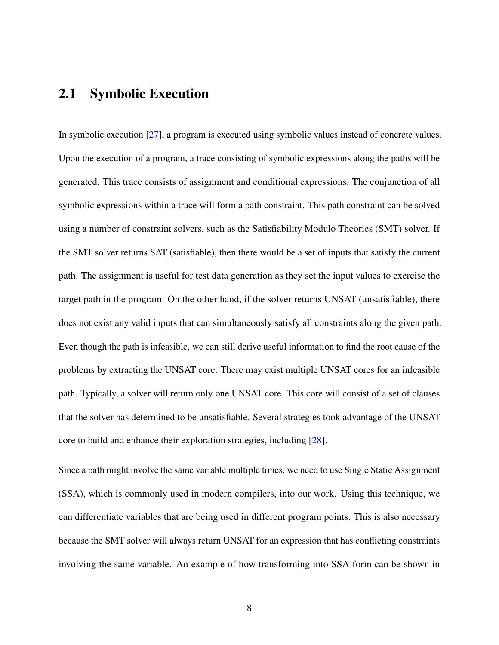#### <span id="page-17-0"></span>2.1 Symbolic Execution

In symbolic execution [\[27\]](#page-78-6), a program is executed using symbolic values instead of concrete values. Upon the execution of a program, a trace consisting of symbolic expressions along the paths will be generated. This trace consists of assignment and conditional expressions. The conjunction of all symbolic expressions within a trace will form a path constraint. This path constraint can be solved using a number of constraint solvers, such as the Satisfiability Modulo Theories (SMT) solver. If the SMT solver returns SAT (satisfiable), then there would be a set of inputs that satisfy the current path. The assignment is useful for test data generation as they set the input values to exercise the target path in the program. On the other hand, if the solver returns UNSAT (unsatisfiable), there does not exist any valid inputs that can simultaneously satisfy all constraints along the given path. Even though the path is infeasible, we can still derive useful information to find the root cause of the problems by extracting the UNSAT core. There may exist multiple UNSAT cores for an infeasible path. Typically, a solver will return only one UNSAT core. This core will consist of a set of clauses that the solver has determined to be unsatisfiable. Several strategies took advantage of the UNSAT core to build and enhance their exploration strategies, including [\[28\]](#page-78-2).

Since a path might involve the same variable multiple times, we need to use Single Static Assignment (SSA), which is commonly used in modern compilers, into our work. Using this technique, we can differentiate variables that are being used in different program points. This is also necessary because the SMT solver will always return UNSAT for an expression that has conflicting constraints involving the same variable. An example of how transforming into SSA form can be shown in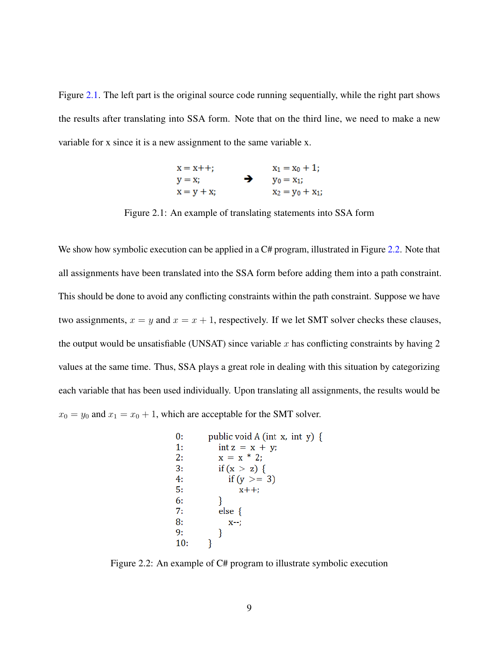<span id="page-18-0"></span>Figure [2.1.](#page-18-0) The left part is the original source code running sequentially, while the right part shows the results after translating into SSA form. Note that on the third line, we need to make a new variable for x since it is a new assignment to the same variable x.

| $x = x + +$ ; |   | $x_1 = x_0 + 1$ ;  |
|---------------|---|--------------------|
| $y = x$ ;     | → | $y_0 = x_1;$       |
| $x = y + x;$  |   | $x_2 = y_0 + x_1;$ |

Figure 2.1: An example of translating statements into SSA form

We show how symbolic execution can be applied in a C# program, illustrated in Figure [2.2.](#page-18-1) Note that all assignments have been translated into the SSA form before adding them into a path constraint. This should be done to avoid any conflicting constraints within the path constraint. Suppose we have two assignments,  $x = y$  and  $x = x + 1$ , respectively. If we let SMT solver checks these clauses, the output would be unsatisfiable (UNSAT) since variable  $x$  has conflicting constraints by having  $2$ values at the same time. Thus, SSA plays a great role in dealing with this situation by categorizing each variable that has been used individually. Upon translating all assignments, the results would be  $x_0 = y_0$  and  $x_1 = x_0 + 1$ , which are acceptable for the SMT solver.

<span id="page-18-1"></span>

Figure 2.2: An example of C# program to illustrate symbolic execution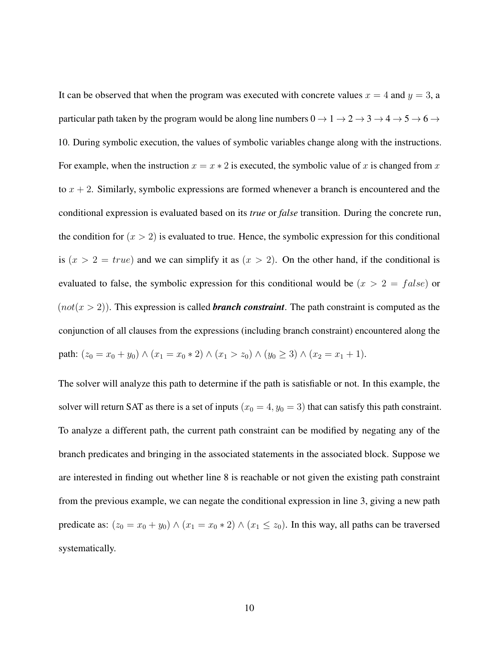It can be observed that when the program was executed with concrete values  $x = 4$  and  $y = 3$ , a particular path taken by the program would be along line numbers  $0 \to 1 \to 2 \to 3 \to 4 \to 5 \to 6 \to 6$ 10. During symbolic execution, the values of symbolic variables change along with the instructions. For example, when the instruction  $x = x * 2$  is executed, the symbolic value of x is changed from x to  $x + 2$ . Similarly, symbolic expressions are formed whenever a branch is encountered and the conditional expression is evaluated based on its *true* or *false* transition. During the concrete run, the condition for  $(x > 2)$  is evaluated to true. Hence, the symbolic expression for this conditional is  $(x > 2 = true)$  and we can simplify it as  $(x > 2)$ . On the other hand, if the conditional is evaluated to false, the symbolic expression for this conditional would be  $(x > 2 = false)$  or  $(not(x > 2))$ . This expression is called **branch constraint**. The path constraint is computed as the conjunction of all clauses from the expressions (including branch constraint) encountered along the path:  $(z_0 = x_0 + y_0) \wedge (x_1 = x_0 * 2) \wedge (x_1 > z_0) \wedge (y_0 \geq 3) \wedge (x_2 = x_1 + 1).$ 

The solver will analyze this path to determine if the path is satisfiable or not. In this example, the solver will return SAT as there is a set of inputs  $(x_0 = 4, y_0 = 3)$  that can satisfy this path constraint. To analyze a different path, the current path constraint can be modified by negating any of the branch predicates and bringing in the associated statements in the associated block. Suppose we are interested in finding out whether line 8 is reachable or not given the existing path constraint from the previous example, we can negate the conditional expression in line 3, giving a new path predicate as:  $(z_0 = x_0 + y_0) \wedge (x_1 = x_0 * 2) \wedge (x_1 \le z_0)$ . In this way, all paths can be traversed systematically.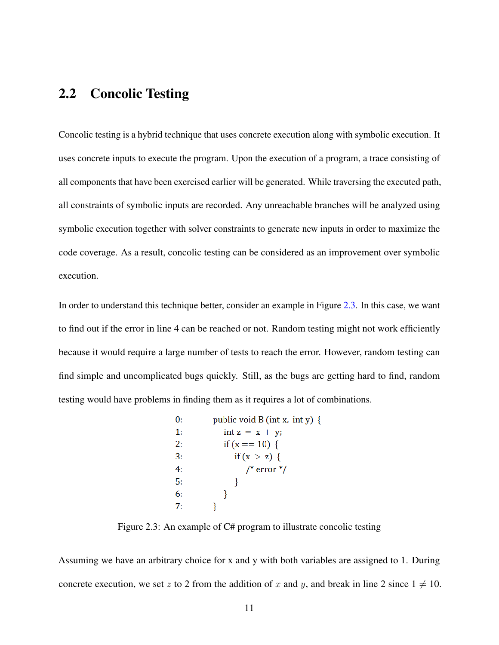### <span id="page-20-0"></span>2.2 Concolic Testing

Concolic testing is a hybrid technique that uses concrete execution along with symbolic execution. It uses concrete inputs to execute the program. Upon the execution of a program, a trace consisting of all components that have been exercised earlier will be generated. While traversing the executed path, all constraints of symbolic inputs are recorded. Any unreachable branches will be analyzed using symbolic execution together with solver constraints to generate new inputs in order to maximize the code coverage. As a result, concolic testing can be considered as an improvement over symbolic execution.

<span id="page-20-1"></span>In order to understand this technique better, consider an example in Figure [2.3.](#page-20-1) In this case, we want to find out if the error in line 4 can be reached or not. Random testing might not work efficiently because it would require a large number of tests to reach the error. However, random testing can find simple and uncomplicated bugs quickly. Still, as the bugs are getting hard to find, random testing would have problems in finding them as it requires a lot of combinations.

| 0: | public void B (int x, int y) { |
|----|--------------------------------|
| 1: | $int z = x + y;$               |
| 2: | if $(x == 10)$ {               |
| 3: | if $(x > z)$ {                 |
| 4: | $/*$ error $*/$                |
| 5: |                                |
| 6: |                                |
| 7: |                                |

Figure 2.3: An example of C# program to illustrate concolic testing

Assuming we have an arbitrary choice for x and y with both variables are assigned to 1. During concrete execution, we set z to 2 from the addition of x and y, and break in line 2 since  $1 \neq 10$ .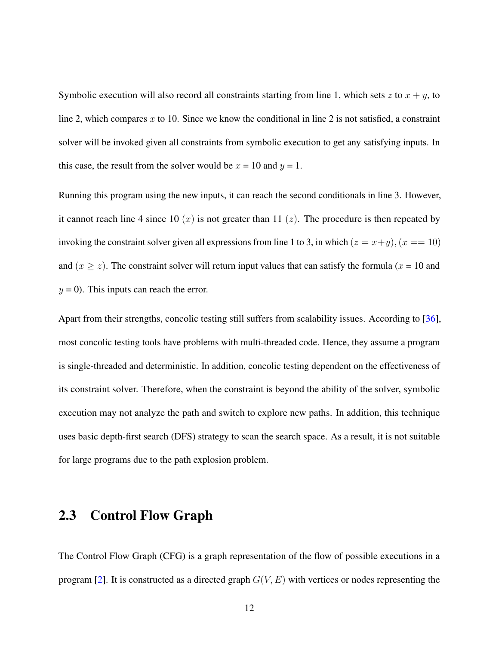Symbolic execution will also record all constraints starting from line 1, which sets  $z$  to  $x + y$ , to line 2, which compares x to 10. Since we know the conditional in line 2 is not satisfied, a constraint solver will be invoked given all constraints from symbolic execution to get any satisfying inputs. In this case, the result from the solver would be  $x = 10$  and  $y = 1$ .

Running this program using the new inputs, it can reach the second conditionals in line 3. However, it cannot reach line 4 since 10  $(x)$  is not greater than 11  $(z)$ . The procedure is then repeated by invoking the constraint solver given all expressions from line 1 to 3, in which  $(z = x+y)$ ,  $(x == 10)$ and  $(x \ge z)$ . The constraint solver will return input values that can satisfy the formula  $(x = 10$  and  $y = 0$ ). This inputs can reach the error.

Apart from their strengths, concolic testing still suffers from scalability issues. According to [\[36\]](#page-79-2), most concolic testing tools have problems with multi-threaded code. Hence, they assume a program is single-threaded and deterministic. In addition, concolic testing dependent on the effectiveness of its constraint solver. Therefore, when the constraint is beyond the ability of the solver, symbolic execution may not analyze the path and switch to explore new paths. In addition, this technique uses basic depth-first search (DFS) strategy to scan the search space. As a result, it is not suitable for large programs due to the path explosion problem.

### <span id="page-21-0"></span>2.3 Control Flow Graph

The Control Flow Graph (CFG) is a graph representation of the flow of possible executions in a program [\[2\]](#page-75-3). It is constructed as a directed graph  $G(V, E)$  with vertices or nodes representing the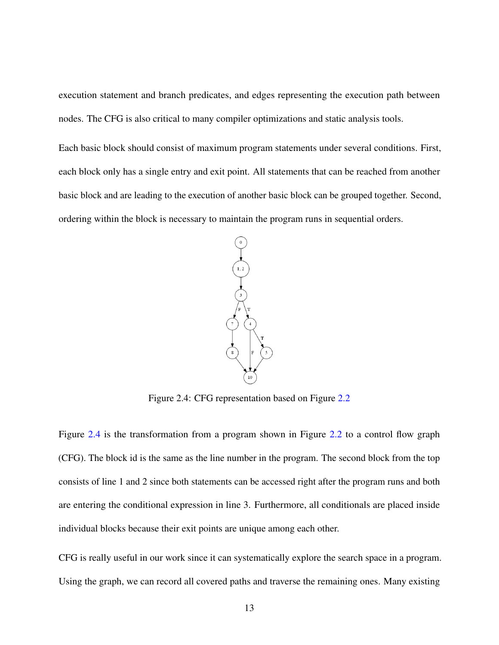execution statement and branch predicates, and edges representing the execution path between nodes. The CFG is also critical to many compiler optimizations and static analysis tools.

<span id="page-22-0"></span>Each basic block should consist of maximum program statements under several conditions. First, each block only has a single entry and exit point. All statements that can be reached from another basic block and are leading to the execution of another basic block can be grouped together. Second, ordering within the block is necessary to maintain the program runs in sequential orders.



Figure 2.4: CFG representation based on Figure [2.2](#page-18-1)

Figure [2.4](#page-22-0) is the transformation from a program shown in Figure [2.2](#page-18-1) to a control flow graph (CFG). The block id is the same as the line number in the program. The second block from the top consists of line 1 and 2 since both statements can be accessed right after the program runs and both are entering the conditional expression in line 3. Furthermore, all conditionals are placed inside individual blocks because their exit points are unique among each other.

CFG is really useful in our work since it can systematically explore the search space in a program. Using the graph, we can record all covered paths and traverse the remaining ones. Many existing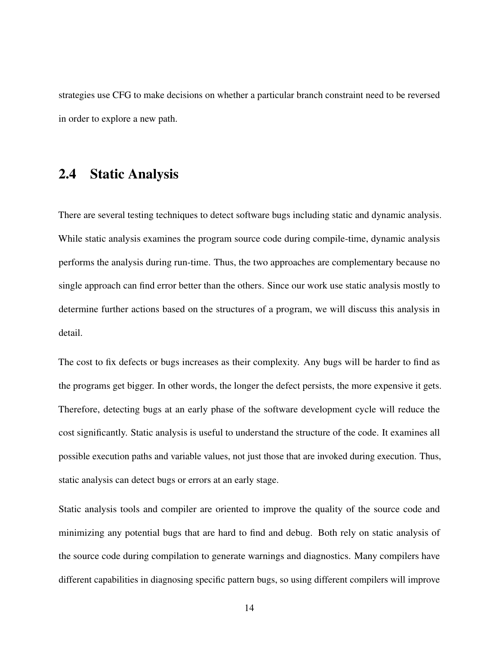strategies use CFG to make decisions on whether a particular branch constraint need to be reversed in order to explore a new path.

#### <span id="page-23-0"></span>2.4 Static Analysis

There are several testing techniques to detect software bugs including static and dynamic analysis. While static analysis examines the program source code during compile-time, dynamic analysis performs the analysis during run-time. Thus, the two approaches are complementary because no single approach can find error better than the others. Since our work use static analysis mostly to determine further actions based on the structures of a program, we will discuss this analysis in detail.

The cost to fix defects or bugs increases as their complexity. Any bugs will be harder to find as the programs get bigger. In other words, the longer the defect persists, the more expensive it gets. Therefore, detecting bugs at an early phase of the software development cycle will reduce the cost significantly. Static analysis is useful to understand the structure of the code. It examines all possible execution paths and variable values, not just those that are invoked during execution. Thus, static analysis can detect bugs or errors at an early stage.

Static analysis tools and compiler are oriented to improve the quality of the source code and minimizing any potential bugs that are hard to find and debug. Both rely on static analysis of the source code during compilation to generate warnings and diagnostics. Many compilers have different capabilities in diagnosing specific pattern bugs, so using different compilers will improve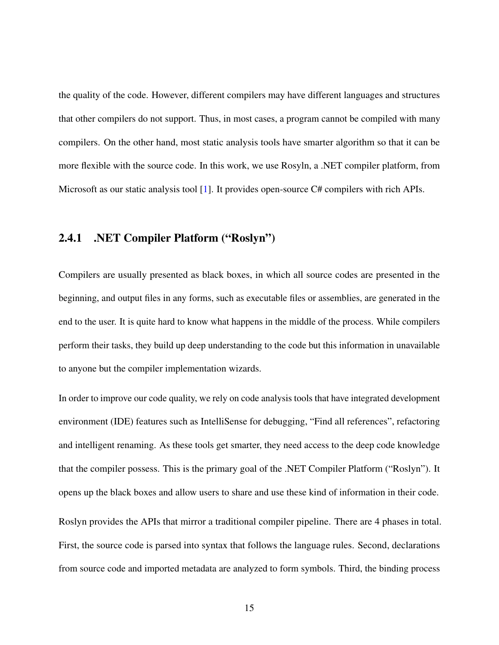the quality of the code. However, different compilers may have different languages and structures that other compilers do not support. Thus, in most cases, a program cannot be compiled with many compilers. On the other hand, most static analysis tools have smarter algorithm so that it can be more flexible with the source code. In this work, we use Rosyln, a .NET compiler platform, from Microsoft as our static analysis tool [\[1\]](#page-75-2). It provides open-source C# compilers with rich APIs.

#### <span id="page-24-0"></span>2.4.1 .NET Compiler Platform ("Roslyn")

Compilers are usually presented as black boxes, in which all source codes are presented in the beginning, and output files in any forms, such as executable files or assemblies, are generated in the end to the user. It is quite hard to know what happens in the middle of the process. While compilers perform their tasks, they build up deep understanding to the code but this information in unavailable to anyone but the compiler implementation wizards.

In order to improve our code quality, we rely on code analysis tools that have integrated development environment (IDE) features such as IntelliSense for debugging, "Find all references", refactoring and intelligent renaming. As these tools get smarter, they need access to the deep code knowledge that the compiler possess. This is the primary goal of the .NET Compiler Platform ("Roslyn"). It opens up the black boxes and allow users to share and use these kind of information in their code. Roslyn provides the APIs that mirror a traditional compiler pipeline. There are 4 phases in total. First, the source code is parsed into syntax that follows the language rules. Second, declarations from source code and imported metadata are analyzed to form symbols. Third, the binding process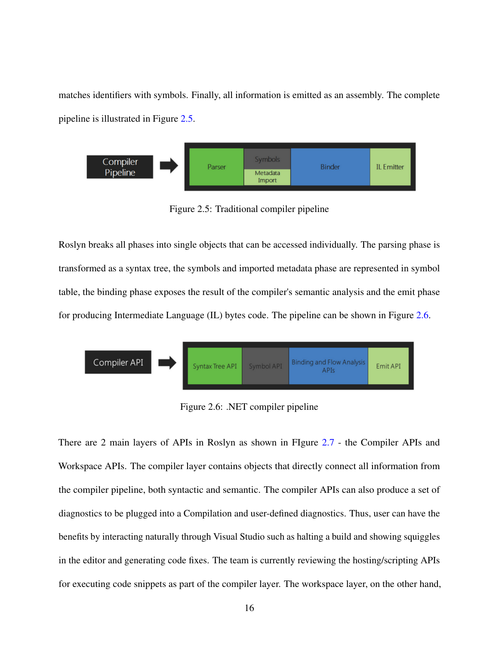matches identifiers with symbols. Finally, all information is emitted as an assembly. The complete pipeline is illustrated in Figure [2.5.](#page-25-0)

<span id="page-25-0"></span>

Figure 2.5: Traditional compiler pipeline

Roslyn breaks all phases into single objects that can be accessed individually. The parsing phase is transformed as a syntax tree, the symbols and imported metadata phase are represented in symbol table, the binding phase exposes the result of the compiler's semantic analysis and the emit phase for producing Intermediate Language (IL) bytes code. The pipeline can be shown in Figure [2.6.](#page-25-1)

<span id="page-25-1"></span>

Figure 2.6: .NET compiler pipeline

There are 2 main layers of APIs in Roslyn as shown in FIgure [2.7](#page-26-0) - the Compiler APIs and Workspace APIs. The compiler layer contains objects that directly connect all information from the compiler pipeline, both syntactic and semantic. The compiler APIs can also produce a set of diagnostics to be plugged into a Compilation and user-defined diagnostics. Thus, user can have the benefits by interacting naturally through Visual Studio such as halting a build and showing squiggles in the editor and generating code fixes. The team is currently reviewing the hosting/scripting APIs for executing code snippets as part of the compiler layer. The workspace layer, on the other hand,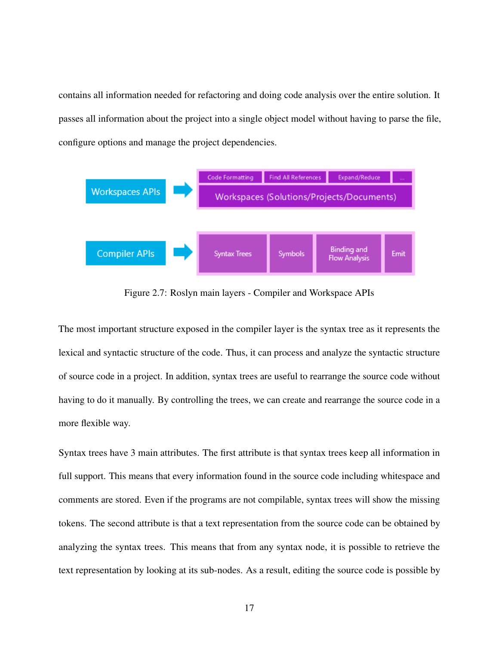contains all information needed for refactoring and doing code analysis over the entire solution. It passes all information about the project into a single object model without having to parse the file, configure options and manage the project dependencies.

<span id="page-26-0"></span>

Figure 2.7: Roslyn main layers - Compiler and Workspace APIs

The most important structure exposed in the compiler layer is the syntax tree as it represents the lexical and syntactic structure of the code. Thus, it can process and analyze the syntactic structure of source code in a project. In addition, syntax trees are useful to rearrange the source code without having to do it manually. By controlling the trees, we can create and rearrange the source code in a more flexible way.

Syntax trees have 3 main attributes. The first attribute is that syntax trees keep all information in full support. This means that every information found in the source code including whitespace and comments are stored. Even if the programs are not compilable, syntax trees will show the missing tokens. The second attribute is that a text representation from the source code can be obtained by analyzing the syntax trees. This means that from any syntax node, it is possible to retrieve the text representation by looking at its sub-nodes. As a result, editing the source code is possible by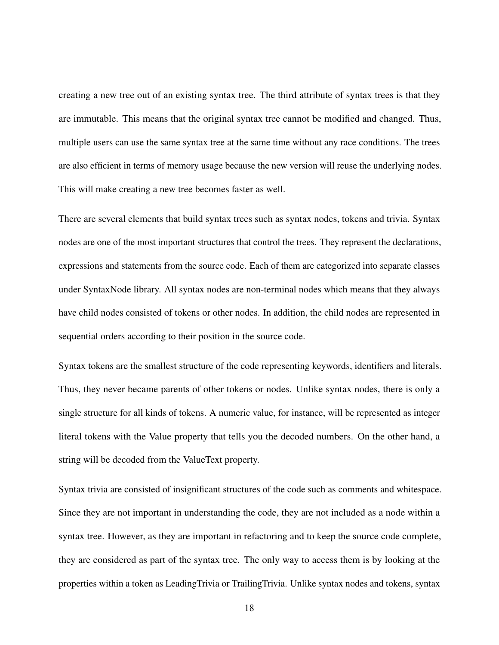creating a new tree out of an existing syntax tree. The third attribute of syntax trees is that they are immutable. This means that the original syntax tree cannot be modified and changed. Thus, multiple users can use the same syntax tree at the same time without any race conditions. The trees are also efficient in terms of memory usage because the new version will reuse the underlying nodes. This will make creating a new tree becomes faster as well.

There are several elements that build syntax trees such as syntax nodes, tokens and trivia. Syntax nodes are one of the most important structures that control the trees. They represent the declarations, expressions and statements from the source code. Each of them are categorized into separate classes under SyntaxNode library. All syntax nodes are non-terminal nodes which means that they always have child nodes consisted of tokens or other nodes. In addition, the child nodes are represented in sequential orders according to their position in the source code.

Syntax tokens are the smallest structure of the code representing keywords, identifiers and literals. Thus, they never became parents of other tokens or nodes. Unlike syntax nodes, there is only a single structure for all kinds of tokens. A numeric value, for instance, will be represented as integer literal tokens with the Value property that tells you the decoded numbers. On the other hand, a string will be decoded from the ValueText property.

Syntax trivia are consisted of insignificant structures of the code such as comments and whitespace. Since they are not important in understanding the code, they are not included as a node within a syntax tree. However, as they are important in refactoring and to keep the source code complete, they are considered as part of the syntax tree. The only way to access them is by looking at the properties within a token as LeadingTrivia or TrailingTrivia. Unlike syntax nodes and tokens, syntax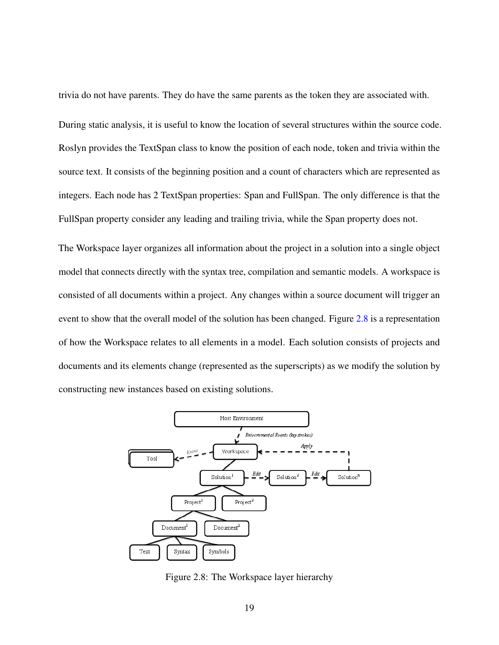trivia do not have parents. They do have the same parents as the token they are associated with.

During static analysis, it is useful to know the location of several structures within the source code. Roslyn provides the TextSpan class to know the position of each node, token and trivia within the source text. It consists of the beginning position and a count of characters which are represented as integers. Each node has 2 TextSpan properties: Span and FullSpan. The only difference is that the FullSpan property consider any leading and trailing trivia, while the Span property does not.

The Workspace layer organizes all information about the project in a solution into a single object model that connects directly with the syntax tree, compilation and semantic models. A workspace is consisted of all documents within a project. Any changes within a source document will trigger an event to show that the overall model of the solution has been changed. Figure [2.8](#page-28-0) is a representation of how the Workspace relates to all elements in a model. Each solution consists of projects and documents and its elements change (represented as the superscripts) as we modify the solution by constructing new instances based on existing solutions.

<span id="page-28-0"></span>

Figure 2.8: The Workspace layer hierarchy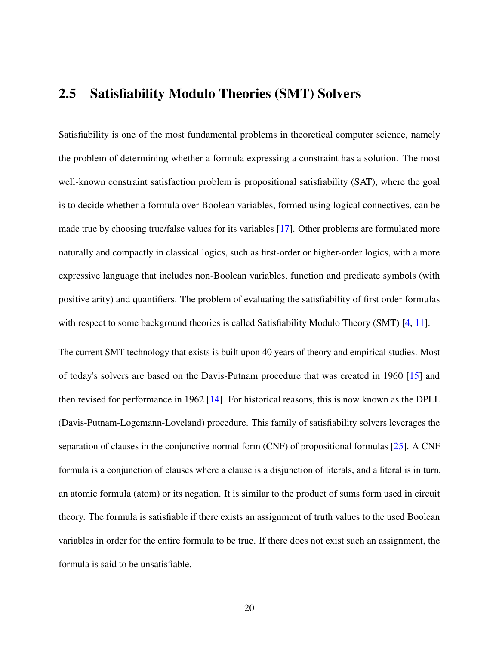#### <span id="page-29-0"></span>2.5 Satisfiability Modulo Theories (SMT) Solvers

Satisfiability is one of the most fundamental problems in theoretical computer science, namely the problem of determining whether a formula expressing a constraint has a solution. The most well-known constraint satisfaction problem is propositional satisfiability (SAT), where the goal is to decide whether a formula over Boolean variables, formed using logical connectives, can be made true by choosing true/false values for its variables [\[17\]](#page-77-1). Other problems are formulated more naturally and compactly in classical logics, such as first-order or higher-order logics, with a more expressive language that includes non-Boolean variables, function and predicate symbols (with positive arity) and quantifiers. The problem of evaluating the satisfiability of first order formulas with respect to some background theories is called Satisfiability Modulo Theory (SMT) [\[4,](#page-75-4) [11\]](#page-76-2).

The current SMT technology that exists is built upon 40 years of theory and empirical studies. Most of today's solvers are based on the Davis-Putnam procedure that was created in 1960 [\[15\]](#page-77-2) and then revised for performance in 1962 [\[14\]](#page-77-3). For historical reasons, this is now known as the DPLL (Davis-Putnam-Logemann-Loveland) procedure. This family of satisfiability solvers leverages the separation of clauses in the conjunctive normal form (CNF) of propositional formulas [\[25\]](#page-78-7). A CNF formula is a conjunction of clauses where a clause is a disjunction of literals, and a literal is in turn, an atomic formula (atom) or its negation. It is similar to the product of sums form used in circuit theory. The formula is satisfiable if there exists an assignment of truth values to the used Boolean variables in order for the entire formula to be true. If there does not exist such an assignment, the formula is said to be unsatisfiable.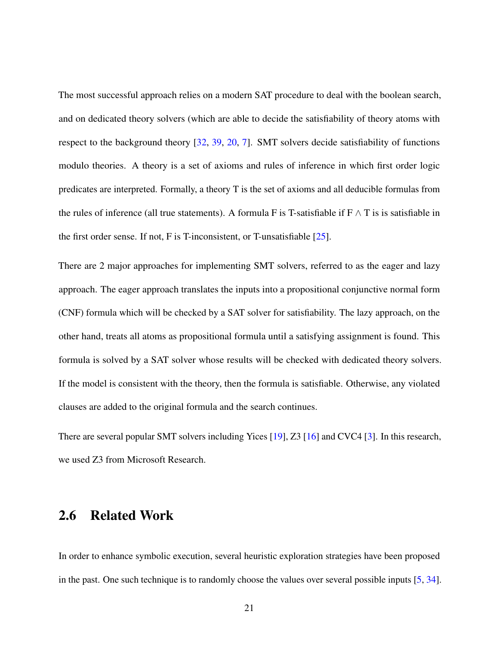The most successful approach relies on a modern SAT procedure to deal with the boolean search, and on dedicated theory solvers (which are able to decide the satisfiability of theory atoms with respect to the background theory [\[32,](#page-79-3) [39,](#page-79-4) [20,](#page-77-4) [7\]](#page-76-3). SMT solvers decide satisfiability of functions modulo theories. A theory is a set of axioms and rules of inference in which first order logic predicates are interpreted. Formally, a theory T is the set of axioms and all deducible formulas from the rules of inference (all true statements). A formula F is T-satisfiable if  $F \wedge T$  is is satisfiable in the first order sense. If not, F is T-inconsistent, or T-unsatisfiable [\[25\]](#page-78-7).

There are 2 major approaches for implementing SMT solvers, referred to as the eager and lazy approach. The eager approach translates the inputs into a propositional conjunctive normal form (CNF) formula which will be checked by a SAT solver for satisfiability. The lazy approach, on the other hand, treats all atoms as propositional formula until a satisfying assignment is found. This formula is solved by a SAT solver whose results will be checked with dedicated theory solvers. If the model is consistent with the theory, then the formula is satisfiable. Otherwise, any violated clauses are added to the original formula and the search continues.

There are several popular SMT solvers including Yices [\[19\]](#page-77-5), Z3 [\[16\]](#page-77-0) and CVC4 [\[3\]](#page-75-5). In this research, we used Z3 from Microsoft Research.

#### <span id="page-30-0"></span>2.6 Related Work

In order to enhance symbolic execution, several heuristic exploration strategies have been proposed in the past. One such technique is to randomly choose the values over several possible inputs [\[5,](#page-75-6) [34\]](#page-79-5).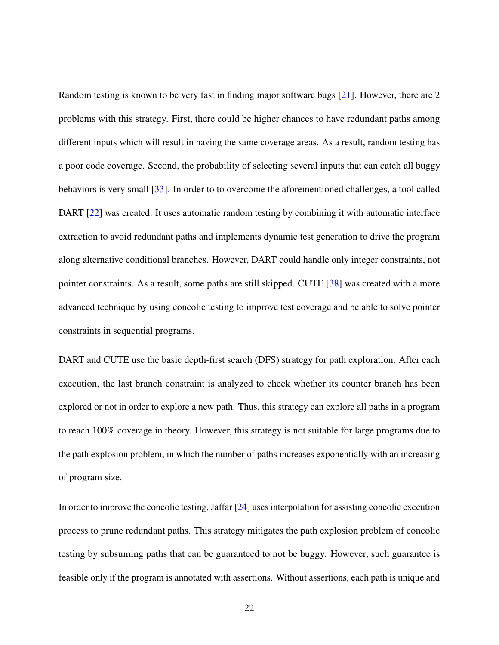Random testing is known to be very fast in finding major software bugs [\[21\]](#page-77-6). However, there are 2 problems with this strategy. First, there could be higher chances to have redundant paths among different inputs which will result in having the same coverage areas. As a result, random testing has a poor code coverage. Second, the probability of selecting several inputs that can catch all buggy behaviors is very small [\[33\]](#page-79-6). In order to to overcome the aforementioned challenges, a tool called DART [\[22\]](#page-77-7) was created. It uses automatic random testing by combining it with automatic interface extraction to avoid redundant paths and implements dynamic test generation to drive the program along alternative conditional branches. However, DART could handle only integer constraints, not pointer constraints. As a result, some paths are still skipped. CUTE [\[38\]](#page-79-1) was created with a more advanced technique by using concolic testing to improve test coverage and be able to solve pointer constraints in sequential programs.

DART and CUTE use the basic depth-first search (DFS) strategy for path exploration. After each execution, the last branch constraint is analyzed to check whether its counter branch has been explored or not in order to explore a new path. Thus, this strategy can explore all paths in a program to reach 100% coverage in theory. However, this strategy is not suitable for large programs due to the path explosion problem, in which the number of paths increases exponentially with an increasing of program size.

In order to improve the concolic testing, Jaffar [\[24\]](#page-78-5) uses interpolation for assisting concolic execution process to prune redundant paths. This strategy mitigates the path explosion problem of concolic testing by subsuming paths that can be guaranteed to not be buggy. However, such guarantee is feasible only if the program is annotated with assertions. Without assertions, each path is unique and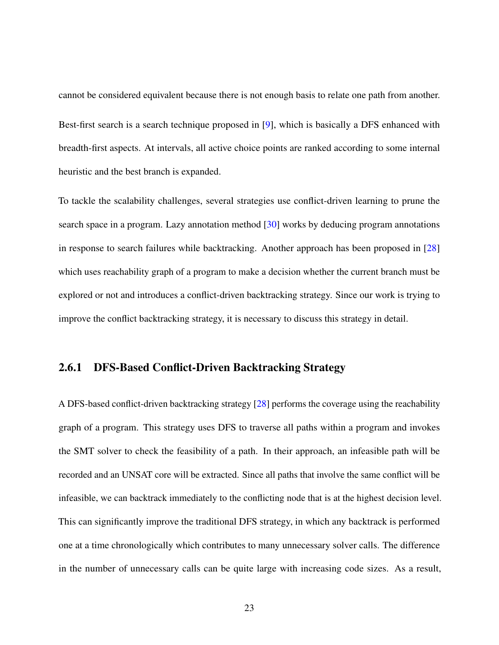cannot be considered equivalent because there is not enough basis to relate one path from another. Best-first search is a search technique proposed in [\[9\]](#page-76-4), which is basically a DFS enhanced with breadth-first aspects. At intervals, all active choice points are ranked according to some internal heuristic and the best branch is expanded.

To tackle the scalability challenges, several strategies use conflict-driven learning to prune the search space in a program. Lazy annotation method [\[30\]](#page-78-4) works by deducing program annotations in response to search failures while backtracking. Another approach has been proposed in [\[28\]](#page-78-2) which uses reachability graph of a program to make a decision whether the current branch must be explored or not and introduces a conflict-driven backtracking strategy. Since our work is trying to improve the conflict backtracking strategy, it is necessary to discuss this strategy in detail.

#### <span id="page-32-0"></span>2.6.1 DFS-Based Conflict-Driven Backtracking Strategy

A DFS-based conflict-driven backtracking strategy [\[28\]](#page-78-2) performs the coverage using the reachability graph of a program. This strategy uses DFS to traverse all paths within a program and invokes the SMT solver to check the feasibility of a path. In their approach, an infeasible path will be recorded and an UNSAT core will be extracted. Since all paths that involve the same conflict will be infeasible, we can backtrack immediately to the conflicting node that is at the highest decision level. This can significantly improve the traditional DFS strategy, in which any backtrack is performed one at a time chronologically which contributes to many unnecessary solver calls. The difference in the number of unnecessary calls can be quite large with increasing code sizes. As a result,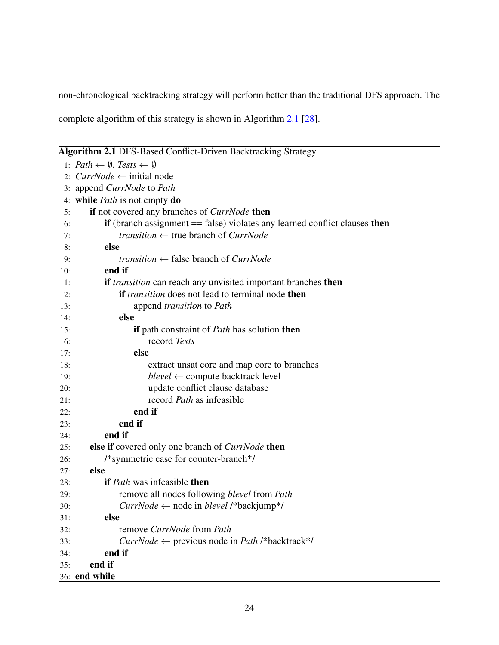non-chronological backtracking strategy will perform better than the traditional DFS approach. The

complete algorithm of this strategy is shown in Algorithm [2.1](#page-33-0) [\[28\]](#page-78-2).

<span id="page-33-0"></span>Algorithm 2.1 DFS-Based Conflict-Driven Backtracking Strategy

|     | .0 - - - - - <sub>0</sub> ,                                                  |
|-----|------------------------------------------------------------------------------|
|     | 1: $Path \leftarrow \emptyset$ , Tests $\leftarrow \emptyset$                |
|     | 2: $CurrNode \leftarrow initial node$                                        |
|     | 3: append <i>CurrNode</i> to <i>Path</i>                                     |
|     | 4: while <i>Path</i> is not empty <b>do</b>                                  |
| 5:  | if not covered any branches of <i>CurrNode</i> then                          |
| 6:  | if (branch assignment $==$ false) violates any learned conflict clauses then |
| 7:  | <i>transition</i> $\leftarrow$ true branch of <i>CurrNode</i>                |
| 8:  | else                                                                         |
| 9:  | <i>transition</i> $\leftarrow$ false branch of <i>CurrNode</i>               |
| 10: | end if                                                                       |
| 11: | if <i>transition</i> can reach any unvisited important branches then         |
| 12: | <b>if</b> <i>transition</i> does not lead to terminal node <b>then</b>       |
| 13: | append <i>transition</i> to Path                                             |
| 14: | else                                                                         |
| 15: | if path constraint of Path has solution then                                 |
| 16: | record Tests                                                                 |
| 17: | else                                                                         |
| 18: | extract unsat core and map core to branches                                  |
| 19: | $blevel \leftarrow$ compute backtrack level                                  |
| 20: | update conflict clause database                                              |
| 21: | record <i>Path</i> as infeasible                                             |
| 22: | end if                                                                       |
| 23: | end if                                                                       |
| 24: | end if                                                                       |
| 25: | else if covered only one branch of <i>CurrNode</i> then                      |
| 26: | /*symmetric case for counter-branch*/                                        |
| 27: | else                                                                         |
| 28: | <b>if</b> Path was infeasible <b>then</b>                                    |
| 29: | remove all nodes following blevel from Path                                  |
| 30: | $CurrNode \leftarrow node$ in <i>blevel</i> /*backjump*/                     |
| 31: | else                                                                         |
| 32: | remove CurrNode from Path                                                    |
| 33: | <i>CurrNode</i> $\leftarrow$ previous node in <i>Path</i> /*backtrack*/      |
| 34: | end if                                                                       |
| 35: | end if                                                                       |
|     | 36: end while                                                                |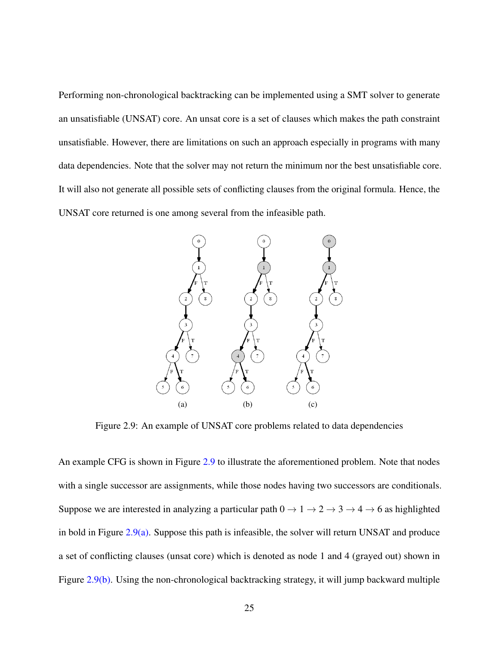Performing non-chronological backtracking can be implemented using a SMT solver to generate an unsatisfiable (UNSAT) core. An unsat core is a set of clauses which makes the path constraint unsatisfiable. However, there are limitations on such an approach especially in programs with many data dependencies. Note that the solver may not return the minimum nor the best unsatisfiable core. It will also not generate all possible sets of conflicting clauses from the original formula. Hence, the UNSAT core returned is one among several from the infeasible path.

<span id="page-34-1"></span><span id="page-34-0"></span>

<span id="page-34-3"></span><span id="page-34-2"></span>Figure 2.9: An example of UNSAT core problems related to data dependencies

An example CFG is shown in Figure [2.9](#page-34-0) to illustrate the aforementioned problem. Note that nodes with a single successor are assignments, while those nodes having two successors are conditionals. Suppose we are interested in analyzing a particular path  $0 \rightarrow 1 \rightarrow 2 \rightarrow 3 \rightarrow 4 \rightarrow 6$  as highlighted in bold in Figure [2.9\(a\).](#page-34-1) Suppose this path is infeasible, the solver will return UNSAT and produce a set of conflicting clauses (unsat core) which is denoted as node 1 and 4 (grayed out) shown in Figure [2.9\(b\).](#page-34-2) Using the non-chronological backtracking strategy, it will jump backward multiple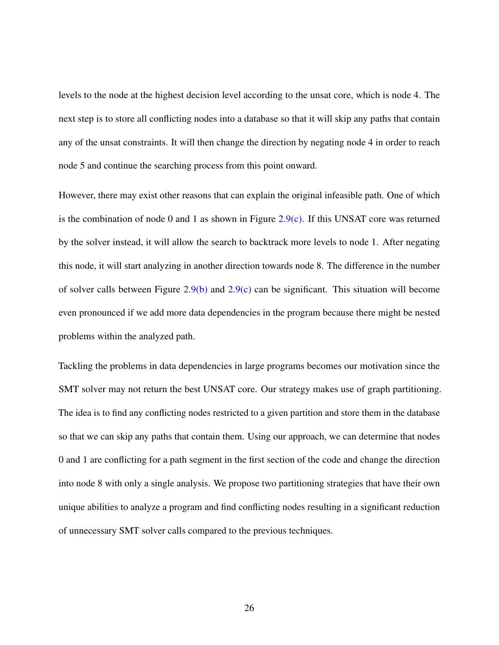levels to the node at the highest decision level according to the unsat core, which is node 4. The next step is to store all conflicting nodes into a database so that it will skip any paths that contain any of the unsat constraints. It will then change the direction by negating node 4 in order to reach node 5 and continue the searching process from this point onward.

However, there may exist other reasons that can explain the original infeasible path. One of which is the combination of node 0 and 1 as shown in Figure [2.9\(c\).](#page-34-3) If this UNSAT core was returned by the solver instead, it will allow the search to backtrack more levels to node 1. After negating this node, it will start analyzing in another direction towards node 8. The difference in the number of solver calls between Figure [2.9\(b\)](#page-34-2) and [2.9\(c\)](#page-34-3) can be significant. This situation will become even pronounced if we add more data dependencies in the program because there might be nested problems within the analyzed path.

Tackling the problems in data dependencies in large programs becomes our motivation since the SMT solver may not return the best UNSAT core. Our strategy makes use of graph partitioning. The idea is to find any conflicting nodes restricted to a given partition and store them in the database so that we can skip any paths that contain them. Using our approach, we can determine that nodes 0 and 1 are conflicting for a path segment in the first section of the code and change the direction into node 8 with only a single analysis. We propose two partitioning strategies that have their own unique abilities to analyze a program and find conflicting nodes resulting in a significant reduction of unnecessary SMT solver calls compared to the previous techniques.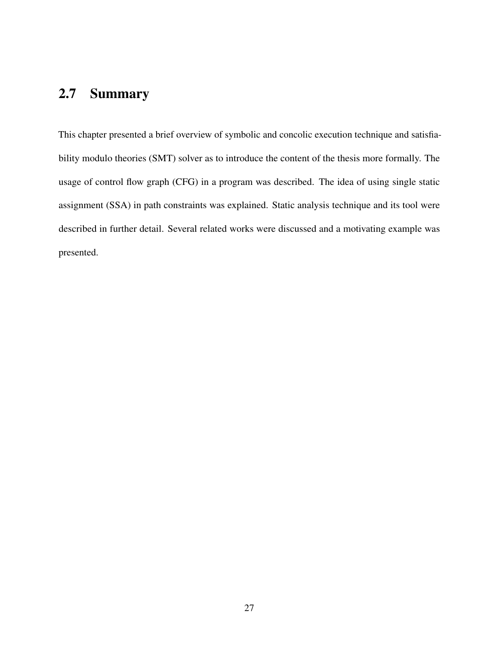# 2.7 Summary

This chapter presented a brief overview of symbolic and concolic execution technique and satisfiability modulo theories (SMT) solver as to introduce the content of the thesis more formally. The usage of control flow graph (CFG) in a program was described. The idea of using single static assignment (SSA) in path constraints was explained. Static analysis technique and its tool were described in further detail. Several related works were discussed and a motivating example was presented.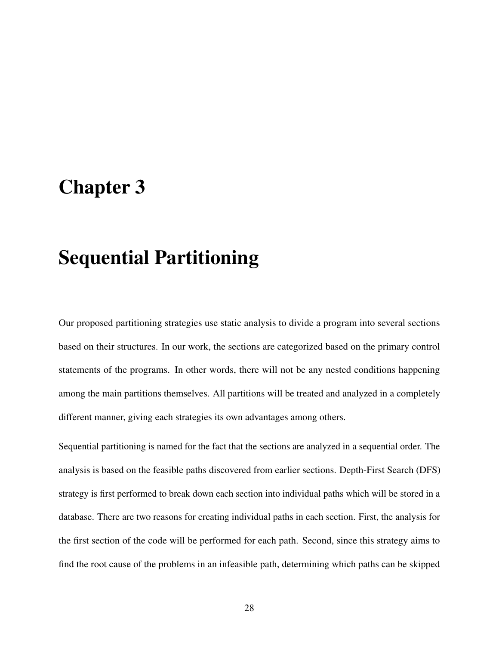# <span id="page-37-0"></span>Chapter 3

# Sequential Partitioning

Our proposed partitioning strategies use static analysis to divide a program into several sections based on their structures. In our work, the sections are categorized based on the primary control statements of the programs. In other words, there will not be any nested conditions happening among the main partitions themselves. All partitions will be treated and analyzed in a completely different manner, giving each strategies its own advantages among others.

Sequential partitioning is named for the fact that the sections are analyzed in a sequential order. The analysis is based on the feasible paths discovered from earlier sections. Depth-First Search (DFS) strategy is first performed to break down each section into individual paths which will be stored in a database. There are two reasons for creating individual paths in each section. First, the analysis for the first section of the code will be performed for each path. Second, since this strategy aims to find the root cause of the problems in an infeasible path, determining which paths can be skipped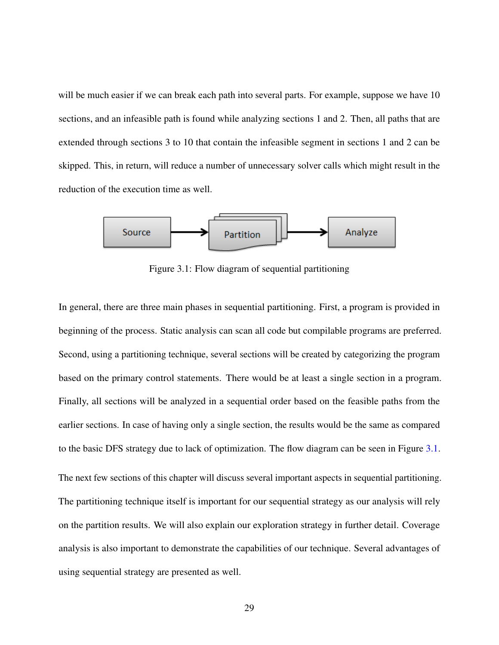will be much easier if we can break each path into several parts. For example, suppose we have 10 sections, and an infeasible path is found while analyzing sections 1 and 2. Then, all paths that are extended through sections 3 to 10 that contain the infeasible segment in sections 1 and 2 can be skipped. This, in return, will reduce a number of unnecessary solver calls which might result in the reduction of the execution time as well.

<span id="page-38-0"></span>

Figure 3.1: Flow diagram of sequential partitioning

In general, there are three main phases in sequential partitioning. First, a program is provided in beginning of the process. Static analysis can scan all code but compilable programs are preferred. Second, using a partitioning technique, several sections will be created by categorizing the program based on the primary control statements. There would be at least a single section in a program. Finally, all sections will be analyzed in a sequential order based on the feasible paths from the earlier sections. In case of having only a single section, the results would be the same as compared to the basic DFS strategy due to lack of optimization. The flow diagram can be seen in Figure [3.1.](#page-38-0)

The next few sections of this chapter will discuss several important aspects in sequential partitioning. The partitioning technique itself is important for our sequential strategy as our analysis will rely on the partition results. We will also explain our exploration strategy in further detail. Coverage analysis is also important to demonstrate the capabilities of our technique. Several advantages of using sequential strategy are presented as well.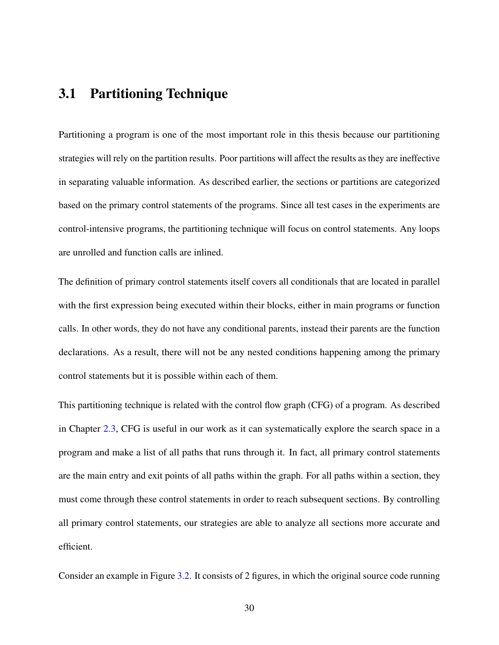## 3.1 Partitioning Technique

Partitioning a program is one of the most important role in this thesis because our partitioning strategies will rely on the partition results. Poor partitions will affect the results as they are ineffective in separating valuable information. As described earlier, the sections or partitions are categorized based on the primary control statements of the programs. Since all test cases in the experiments are control-intensive programs, the partitioning technique will focus on control statements. Any loops are unrolled and function calls are inlined.

The definition of primary control statements itself covers all conditionals that are located in parallel with the first expression being executed within their blocks, either in main programs or function calls. In other words, they do not have any conditional parents, instead their parents are the function declarations. As a result, there will not be any nested conditions happening among the primary control statements but it is possible within each of them.

This partitioning technique is related with the control flow graph (CFG) of a program. As described in Chapter [2.3,](#page-21-0) CFG is useful in our work as it can systematically explore the search space in a program and make a list of all paths that runs through it. In fact, all primary control statements are the main entry and exit points of all paths within the graph. For all paths within a section, they must come through these control statements in order to reach subsequent sections. By controlling all primary control statements, our strategies are able to analyze all sections more accurate and efficient.

Consider an example in Figure [3.2.](#page-40-0) It consists of 2 figures, in which the original source code running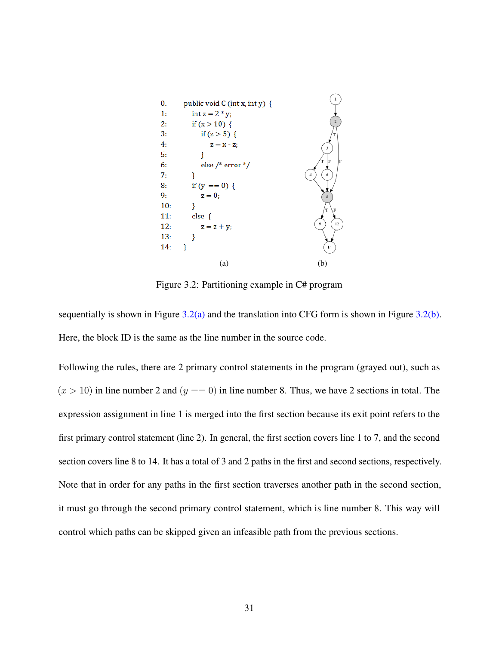<span id="page-40-1"></span><span id="page-40-0"></span>

<span id="page-40-2"></span>Figure 3.2: Partitioning example in C# program

sequentially is shown in Figure  $3.2(a)$  and the translation into CFG form is shown in Figure  $3.2(b)$ . Here, the block ID is the same as the line number in the source code.

Following the rules, there are 2 primary control statements in the program (grayed out), such as  $(x > 10)$  in line number 2 and  $(y == 0)$  in line number 8. Thus, we have 2 sections in total. The expression assignment in line 1 is merged into the first section because its exit point refers to the first primary control statement (line 2). In general, the first section covers line 1 to 7, and the second section covers line 8 to 14. It has a total of 3 and 2 paths in the first and second sections, respectively. Note that in order for any paths in the first section traverses another path in the second section, it must go through the second primary control statement, which is line number 8. This way will control which paths can be skipped given an infeasible path from the previous sections.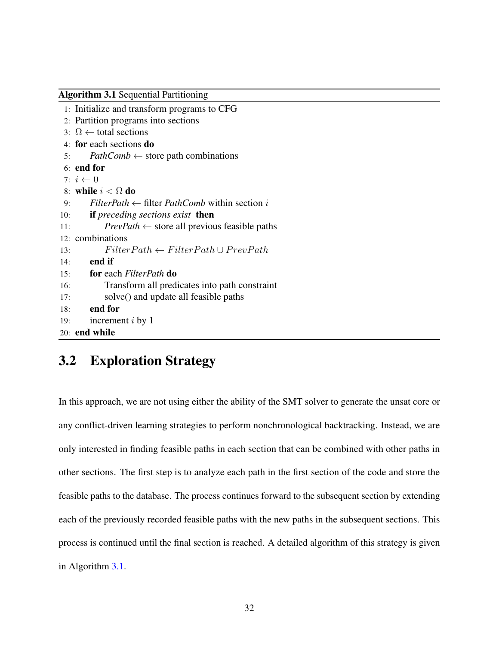```
Algorithm 3.1 Sequential Partitioning
 1: Initialize and transform programs to CFG
 2: Partition programs into sections
 3: \Omega ← total sections
 4: for each sections do
 5: PathComb \leftarrow store path combinations6: end for
 7: i \leftarrow 08: while i < \Omega do
 9: FilterPath \leftarrow filter PathComb within section i
10: if preceding sections exist then
11: PrevPath \leftarrow store all previous feasible paths
12: combinations
13: F\text{ilterPath} \leftarrow FilterPath \cup PrevPath14: end if
15: for each FilterPath do
16: Transform all predicates into path constraint
17: solve() and update all feasible paths
18: end for
19: increment i by 1
20: end while
```
# 3.2 Exploration Strategy

In this approach, we are not using either the ability of the SMT solver to generate the unsat core or any conflict-driven learning strategies to perform nonchronological backtracking. Instead, we are only interested in finding feasible paths in each section that can be combined with other paths in other sections. The first step is to analyze each path in the first section of the code and store the feasible paths to the database. The process continues forward to the subsequent section by extending each of the previously recorded feasible paths with the new paths in the subsequent sections. This process is continued until the final section is reached. A detailed algorithm of this strategy is given in Algorithm [3.1.](#page-41-0)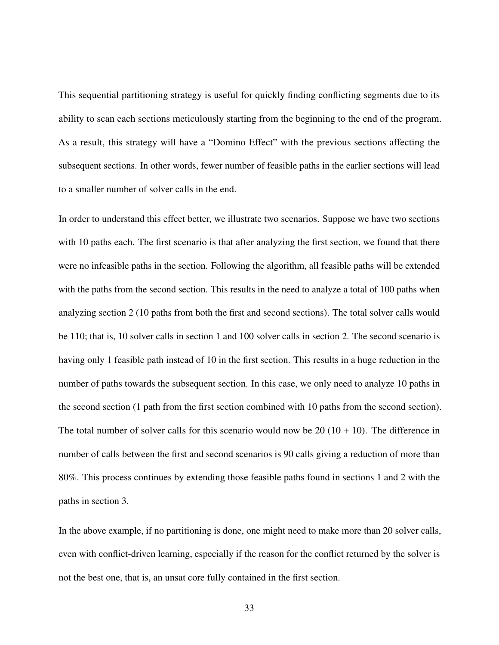This sequential partitioning strategy is useful for quickly finding conflicting segments due to its ability to scan each sections meticulously starting from the beginning to the end of the program. As a result, this strategy will have a "Domino Effect" with the previous sections affecting the subsequent sections. In other words, fewer number of feasible paths in the earlier sections will lead to a smaller number of solver calls in the end.

In order to understand this effect better, we illustrate two scenarios. Suppose we have two sections with 10 paths each. The first scenario is that after analyzing the first section, we found that there were no infeasible paths in the section. Following the algorithm, all feasible paths will be extended with the paths from the second section. This results in the need to analyze a total of 100 paths when analyzing section 2 (10 paths from both the first and second sections). The total solver calls would be 110; that is, 10 solver calls in section 1 and 100 solver calls in section 2. The second scenario is having only 1 feasible path instead of 10 in the first section. This results in a huge reduction in the number of paths towards the subsequent section. In this case, we only need to analyze 10 paths in the second section (1 path from the first section combined with 10 paths from the second section). The total number of solver calls for this scenario would now be 20  $(10 + 10)$ . The difference in number of calls between the first and second scenarios is 90 calls giving a reduction of more than 80%. This process continues by extending those feasible paths found in sections 1 and 2 with the paths in section 3.

In the above example, if no partitioning is done, one might need to make more than 20 solver calls, even with conflict-driven learning, especially if the reason for the conflict returned by the solver is not the best one, that is, an unsat core fully contained in the first section.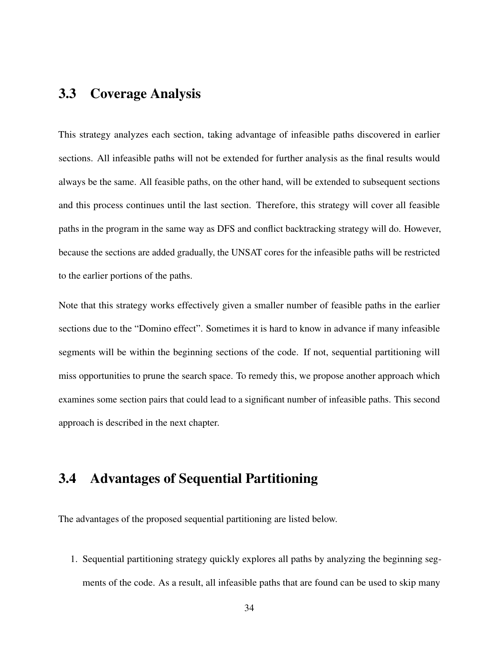## 3.3 Coverage Analysis

This strategy analyzes each section, taking advantage of infeasible paths discovered in earlier sections. All infeasible paths will not be extended for further analysis as the final results would always be the same. All feasible paths, on the other hand, will be extended to subsequent sections and this process continues until the last section. Therefore, this strategy will cover all feasible paths in the program in the same way as DFS and conflict backtracking strategy will do. However, because the sections are added gradually, the UNSAT cores for the infeasible paths will be restricted to the earlier portions of the paths.

Note that this strategy works effectively given a smaller number of feasible paths in the earlier sections due to the "Domino effect". Sometimes it is hard to know in advance if many infeasible segments will be within the beginning sections of the code. If not, sequential partitioning will miss opportunities to prune the search space. To remedy this, we propose another approach which examines some section pairs that could lead to a significant number of infeasible paths. This second approach is described in the next chapter.

## 3.4 Advantages of Sequential Partitioning

The advantages of the proposed sequential partitioning are listed below.

1. Sequential partitioning strategy quickly explores all paths by analyzing the beginning segments of the code. As a result, all infeasible paths that are found can be used to skip many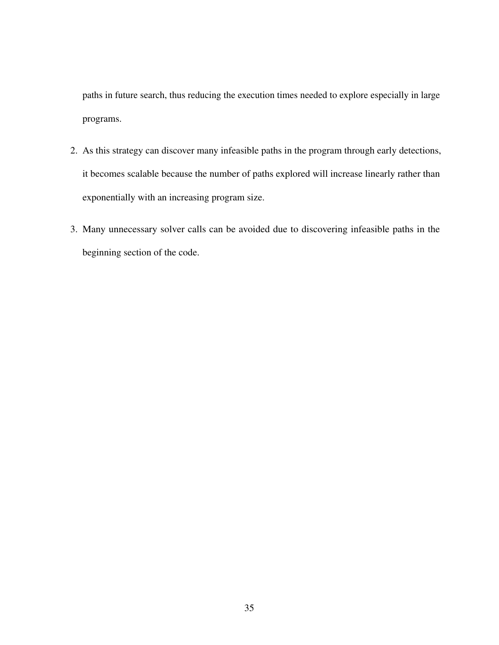paths in future search, thus reducing the execution times needed to explore especially in large programs.

- 2. As this strategy can discover many infeasible paths in the program through early detections, it becomes scalable because the number of paths explored will increase linearly rather than exponentially with an increasing program size.
- 3. Many unnecessary solver calls can be avoided due to discovering infeasible paths in the beginning section of the code.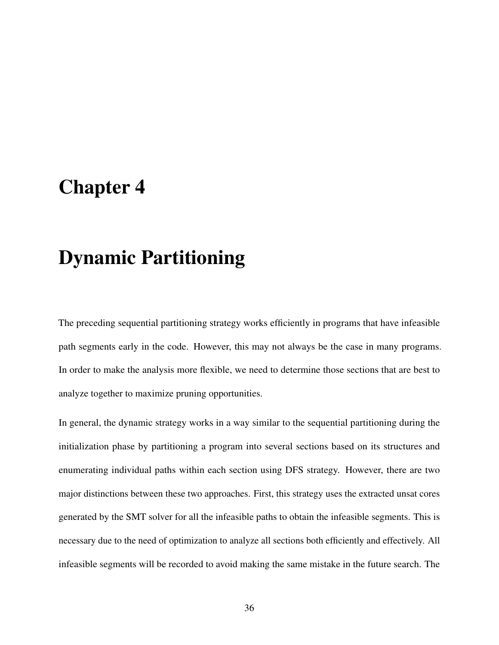# Chapter 4

# Dynamic Partitioning

The preceding sequential partitioning strategy works efficiently in programs that have infeasible path segments early in the code. However, this may not always be the case in many programs. In order to make the analysis more flexible, we need to determine those sections that are best to analyze together to maximize pruning opportunities.

In general, the dynamic strategy works in a way similar to the sequential partitioning during the initialization phase by partitioning a program into several sections based on its structures and enumerating individual paths within each section using DFS strategy. However, there are two major distinctions between these two approaches. First, this strategy uses the extracted unsat cores generated by the SMT solver for all the infeasible paths to obtain the infeasible segments. This is necessary due to the need of optimization to analyze all sections both efficiently and effectively. All infeasible segments will be recorded to avoid making the same mistake in the future search. The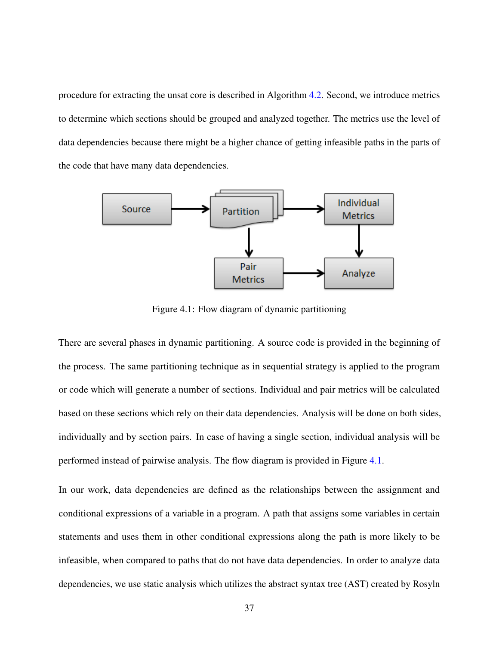procedure for extracting the unsat core is described in Algorithm [4.2.](#page-47-0) Second, we introduce metrics to determine which sections should be grouped and analyzed together. The metrics use the level of data dependencies because there might be a higher chance of getting infeasible paths in the parts of the code that have many data dependencies.

<span id="page-46-0"></span>

Figure 4.1: Flow diagram of dynamic partitioning

There are several phases in dynamic partitioning. A source code is provided in the beginning of the process. The same partitioning technique as in sequential strategy is applied to the program or code which will generate a number of sections. Individual and pair metrics will be calculated based on these sections which rely on their data dependencies. Analysis will be done on both sides, individually and by section pairs. In case of having a single section, individual analysis will be performed instead of pairwise analysis. The flow diagram is provided in Figure [4.1.](#page-46-0)

In our work, data dependencies are defined as the relationships between the assignment and conditional expressions of a variable in a program. A path that assigns some variables in certain statements and uses them in other conditional expressions along the path is more likely to be infeasible, when compared to paths that do not have data dependencies. In order to analyze data dependencies, we use static analysis which utilizes the abstract syntax tree (AST) created by Rosyln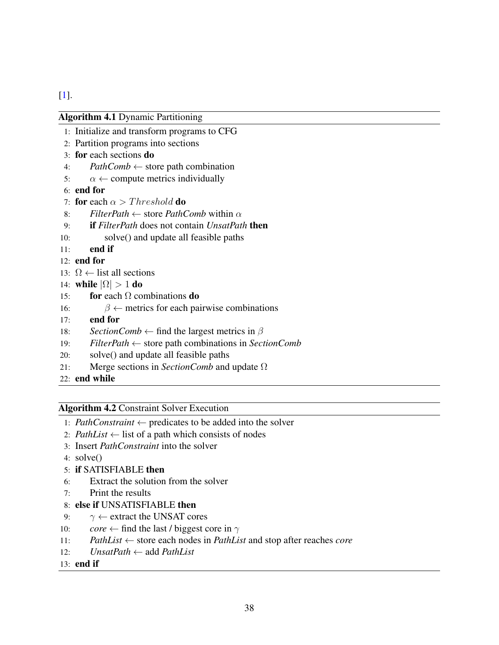<span id="page-47-1"></span>[\[1\]](#page-75-0).

|     | <b>Algorithm 4.1 Dynamic Partitioning</b>                                  |
|-----|----------------------------------------------------------------------------|
|     | 1: Initialize and transform programs to CFG                                |
|     | 2: Partition programs into sections                                        |
|     | 3: for each sections do                                                    |
| 4:  | $PathComb \leftarrow store$ path combination                               |
| 5:  | $\alpha \leftarrow$ compute metrics individually                           |
|     | $6:$ end for                                                               |
|     | 7: for each $\alpha > Threshold$ do                                        |
|     | <i>FilterPath</i> $\leftarrow$ store <i>PathComb</i> within $\alpha$<br>8: |
| 9:  | <b>if</b> FilterPath does not contain UnsatPath <b>then</b>                |
| 10: | solve() and update all feasible paths                                      |
| 11: | end if                                                                     |
|     | $12:$ end for                                                              |
|     | 13: $\Omega$ ← list all sections                                           |
|     | 14: while $ \Omega  > 1$ do                                                |
| 15: | for each $\Omega$ combinations do                                          |
| 16: | $\beta \leftarrow$ metrics for each pairwise combinations                  |
| 17: | end for                                                                    |
| 18: | <i>SectionComb</i> $\leftarrow$ find the largest metrics in $\beta$        |
| 19: | $FilterPath \leftarrow store$ path combinations in SectionComb             |
| 20: | solve() and update all feasible paths                                      |
| 21: | Merge sections in <i>SectionComb</i> and update $\Omega$                   |
|     | 22: end while                                                              |
|     |                                                                            |

#### <span id="page-47-0"></span>Algorithm 4.2 Constraint Solver Execution

- 1: *PathConstraint* ← predicates to be added into the solver
- 2: *PathList*  $\leftarrow$  list of a path which consists of nodes
- 3: Insert *PathConstraint* into the solver
- 4: solve()
- 5: if SATISFIABLE then
- 6: Extract the solution from the solver
- 7: Print the results

### 8: else if UNSATISFIABLE then

- 9:  $\gamma \leftarrow$  extract the UNSAT cores
- 10: *core*  $\leftarrow$  find the last / biggest core in  $\gamma$
- 11: *PathList* ← store each nodes in *PathList* and stop after reaches *core*
- 12: *UnsatPath* ← add *PathList*

#### 13: end if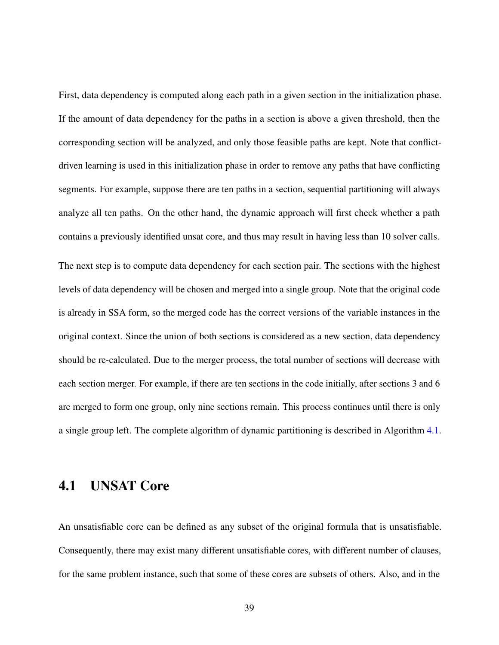First, data dependency is computed along each path in a given section in the initialization phase. If the amount of data dependency for the paths in a section is above a given threshold, then the corresponding section will be analyzed, and only those feasible paths are kept. Note that conflictdriven learning is used in this initialization phase in order to remove any paths that have conflicting segments. For example, suppose there are ten paths in a section, sequential partitioning will always analyze all ten paths. On the other hand, the dynamic approach will first check whether a path contains a previously identified unsat core, and thus may result in having less than 10 solver calls. The next step is to compute data dependency for each section pair. The sections with the highest levels of data dependency will be chosen and merged into a single group. Note that the original code is already in SSA form, so the merged code has the correct versions of the variable instances in the original context. Since the union of both sections is considered as a new section, data dependency should be re-calculated. Due to the merger process, the total number of sections will decrease with each section merger. For example, if there are ten sections in the code initially, after sections 3 and 6 are merged to form one group, only nine sections remain. This process continues until there is only a single group left. The complete algorithm of dynamic partitioning is described in Algorithm [4.1.](#page-47-1)

## 4.1 UNSAT Core

An unsatisfiable core can be defined as any subset of the original formula that is unsatisfiable. Consequently, there may exist many different unsatisfiable cores, with different number of clauses, for the same problem instance, such that some of these cores are subsets of others. Also, and in the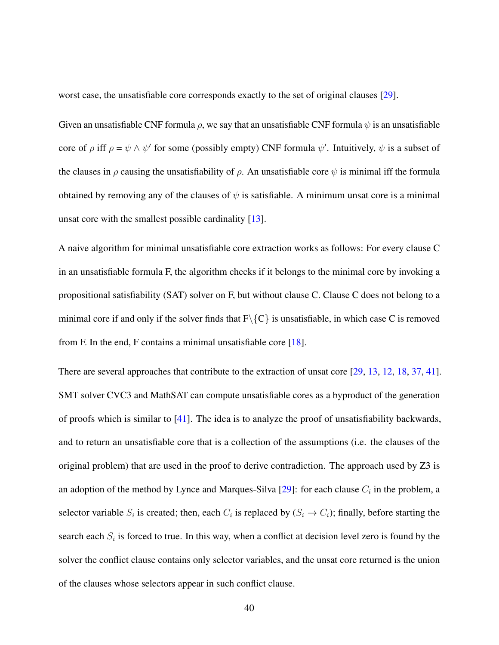worst case, the unsatisfiable core corresponds exactly to the set of original clauses [\[29\]](#page-78-0).

Given an unsatisfiable CNF formula  $\rho$ , we say that an unsatisfiable CNF formula  $\psi$  is an unsatisfiable core of  $\rho$  iff  $\rho = \psi \wedge \psi'$  for some (possibly empty) CNF formula  $\psi'$ . Intuitively,  $\psi$  is a subset of the clauses in  $\rho$  causing the unsatisfiability of  $\rho$ . An unsatisfiable core  $\psi$  is minimal iff the formula obtained by removing any of the clauses of  $\psi$  is satisfiable. A minimum unsat core is a minimal unsat core with the smallest possible cardinality [\[13\]](#page-76-0).

A naive algorithm for minimal unsatisfiable core extraction works as follows: For every clause C in an unsatisfiable formula F, the algorithm checks if it belongs to the minimal core by invoking a propositional satisfiability (SAT) solver on F, but without clause C. Clause C does not belong to a minimal core if and only if the solver finds that  $F\{C\}$  is unsatisfiable, in which case C is removed from F. In the end, F contains a minimal unsatisfiable core [\[18\]](#page-77-0).

There are several approaches that contribute to the extraction of unsat core [\[29,](#page-78-0) [13,](#page-76-0) [12,](#page-76-1) [18,](#page-77-0) [37,](#page-79-0) [41\]](#page-80-0). SMT solver CVC3 and MathSAT can compute unsatisfiable cores as a byproduct of the generation of proofs which is similar to  $[41]$ . The idea is to analyze the proof of unsatisfiability backwards, and to return an unsatisfiable core that is a collection of the assumptions (i.e. the clauses of the original problem) that are used in the proof to derive contradiction. The approach used by Z3 is an adoption of the method by Lynce and Marques-Silva [\[29\]](#page-78-0): for each clause  $C_i$  in the problem, a selector variable  $S_i$  is created; then, each  $C_i$  is replaced by  $(S_i \to C_i)$ ; finally, before starting the search each  $S_i$  is forced to true. In this way, when a conflict at decision level zero is found by the solver the conflict clause contains only selector variables, and the unsat core returned is the union of the clauses whose selectors appear in such conflict clause.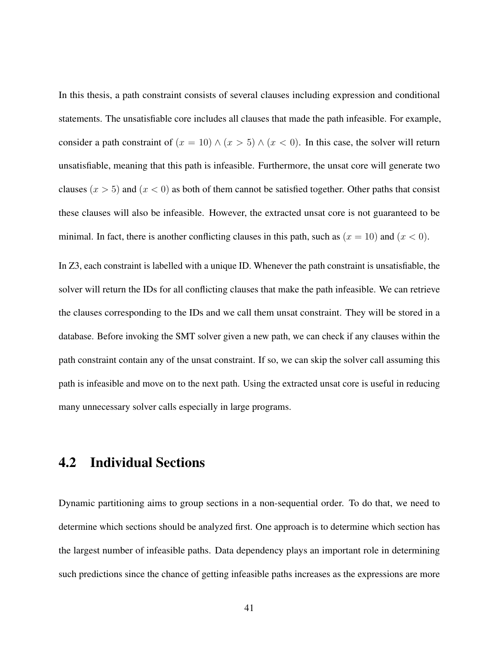In this thesis, a path constraint consists of several clauses including expression and conditional statements. The unsatisfiable core includes all clauses that made the path infeasible. For example, consider a path constraint of  $(x = 10) \wedge (x > 5) \wedge (x < 0)$ . In this case, the solver will return unsatisfiable, meaning that this path is infeasible. Furthermore, the unsat core will generate two clauses  $(x > 5)$  and  $(x < 0)$  as both of them cannot be satisfied together. Other paths that consist these clauses will also be infeasible. However, the extracted unsat core is not guaranteed to be minimal. In fact, there is another conflicting clauses in this path, such as  $(x = 10)$  and  $(x < 0)$ .

In Z3, each constraint is labelled with a unique ID. Whenever the path constraint is unsatisfiable, the solver will return the IDs for all conflicting clauses that make the path infeasible. We can retrieve the clauses corresponding to the IDs and we call them unsat constraint. They will be stored in a database. Before invoking the SMT solver given a new path, we can check if any clauses within the path constraint contain any of the unsat constraint. If so, we can skip the solver call assuming this path is infeasible and move on to the next path. Using the extracted unsat core is useful in reducing many unnecessary solver calls especially in large programs.

## 4.2 Individual Sections

Dynamic partitioning aims to group sections in a non-sequential order. To do that, we need to determine which sections should be analyzed first. One approach is to determine which section has the largest number of infeasible paths. Data dependency plays an important role in determining such predictions since the chance of getting infeasible paths increases as the expressions are more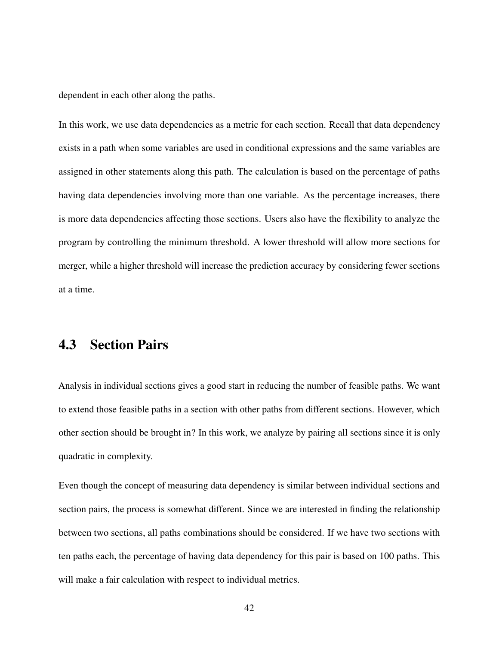dependent in each other along the paths.

In this work, we use data dependencies as a metric for each section. Recall that data dependency exists in a path when some variables are used in conditional expressions and the same variables are assigned in other statements along this path. The calculation is based on the percentage of paths having data dependencies involving more than one variable. As the percentage increases, there is more data dependencies affecting those sections. Users also have the flexibility to analyze the program by controlling the minimum threshold. A lower threshold will allow more sections for merger, while a higher threshold will increase the prediction accuracy by considering fewer sections at a time.

### 4.3 Section Pairs

Analysis in individual sections gives a good start in reducing the number of feasible paths. We want to extend those feasible paths in a section with other paths from different sections. However, which other section should be brought in? In this work, we analyze by pairing all sections since it is only quadratic in complexity.

Even though the concept of measuring data dependency is similar between individual sections and section pairs, the process is somewhat different. Since we are interested in finding the relationship between two sections, all paths combinations should be considered. If we have two sections with ten paths each, the percentage of having data dependency for this pair is based on 100 paths. This will make a fair calculation with respect to individual metrics.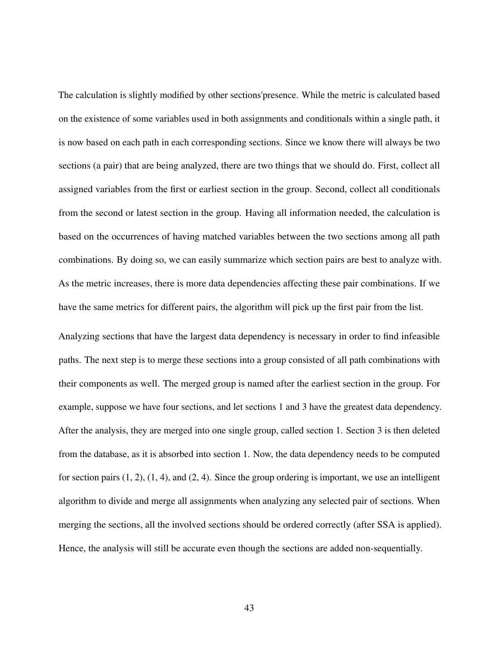The calculation is slightly modified by other sections'presence. While the metric is calculated based on the existence of some variables used in both assignments and conditionals within a single path, it is now based on each path in each corresponding sections. Since we know there will always be two sections (a pair) that are being analyzed, there are two things that we should do. First, collect all assigned variables from the first or earliest section in the group. Second, collect all conditionals from the second or latest section in the group. Having all information needed, the calculation is based on the occurrences of having matched variables between the two sections among all path combinations. By doing so, we can easily summarize which section pairs are best to analyze with. As the metric increases, there is more data dependencies affecting these pair combinations. If we have the same metrics for different pairs, the algorithm will pick up the first pair from the list.

Analyzing sections that have the largest data dependency is necessary in order to find infeasible paths. The next step is to merge these sections into a group consisted of all path combinations with their components as well. The merged group is named after the earliest section in the group. For example, suppose we have four sections, and let sections 1 and 3 have the greatest data dependency. After the analysis, they are merged into one single group, called section 1. Section 3 is then deleted from the database, as it is absorbed into section 1. Now, the data dependency needs to be computed for section pairs  $(1, 2)$ ,  $(1, 4)$ , and  $(2, 4)$ . Since the group ordering is important, we use an intelligent algorithm to divide and merge all assignments when analyzing any selected pair of sections. When merging the sections, all the involved sections should be ordered correctly (after SSA is applied). Hence, the analysis will still be accurate even though the sections are added non-sequentially.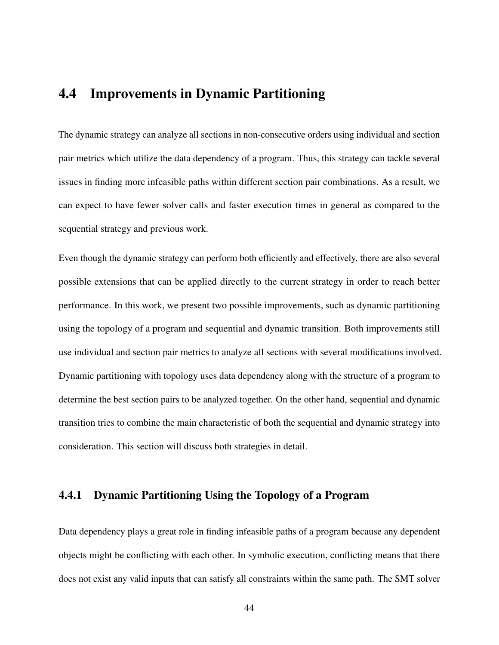## <span id="page-53-0"></span>4.4 Improvements in Dynamic Partitioning

The dynamic strategy can analyze all sections in non-consecutive orders using individual and section pair metrics which utilize the data dependency of a program. Thus, this strategy can tackle several issues in finding more infeasible paths within different section pair combinations. As a result, we can expect to have fewer solver calls and faster execution times in general as compared to the sequential strategy and previous work.

Even though the dynamic strategy can perform both efficiently and effectively, there are also several possible extensions that can be applied directly to the current strategy in order to reach better performance. In this work, we present two possible improvements, such as dynamic partitioning using the topology of a program and sequential and dynamic transition. Both improvements still use individual and section pair metrics to analyze all sections with several modifications involved. Dynamic partitioning with topology uses data dependency along with the structure of a program to determine the best section pairs to be analyzed together. On the other hand, sequential and dynamic transition tries to combine the main characteristic of both the sequential and dynamic strategy into consideration. This section will discuss both strategies in detail.

### 4.4.1 Dynamic Partitioning Using the Topology of a Program

Data dependency plays a great role in finding infeasible paths of a program because any dependent objects might be conflicting with each other. In symbolic execution, conflicting means that there does not exist any valid inputs that can satisfy all constraints within the same path. The SMT solver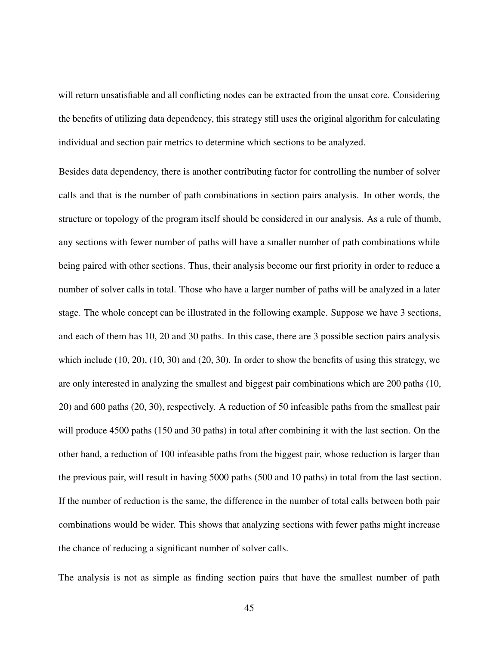will return unsatisfiable and all conflicting nodes can be extracted from the unsat core. Considering the benefits of utilizing data dependency, this strategy still uses the original algorithm for calculating individual and section pair metrics to determine which sections to be analyzed.

Besides data dependency, there is another contributing factor for controlling the number of solver calls and that is the number of path combinations in section pairs analysis. In other words, the structure or topology of the program itself should be considered in our analysis. As a rule of thumb, any sections with fewer number of paths will have a smaller number of path combinations while being paired with other sections. Thus, their analysis become our first priority in order to reduce a number of solver calls in total. Those who have a larger number of paths will be analyzed in a later stage. The whole concept can be illustrated in the following example. Suppose we have 3 sections, and each of them has 10, 20 and 30 paths. In this case, there are 3 possible section pairs analysis which include (10, 20), (10, 30) and (20, 30). In order to show the benefits of using this strategy, we are only interested in analyzing the smallest and biggest pair combinations which are 200 paths (10, 20) and 600 paths (20, 30), respectively. A reduction of 50 infeasible paths from the smallest pair will produce 4500 paths (150 and 30 paths) in total after combining it with the last section. On the other hand, a reduction of 100 infeasible paths from the biggest pair, whose reduction is larger than the previous pair, will result in having 5000 paths (500 and 10 paths) in total from the last section. If the number of reduction is the same, the difference in the number of total calls between both pair combinations would be wider. This shows that analyzing sections with fewer paths might increase the chance of reducing a significant number of solver calls.

The analysis is not as simple as finding section pairs that have the smallest number of path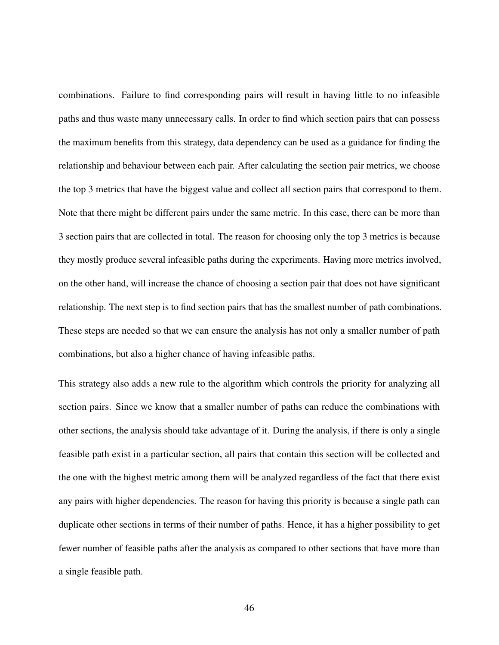combinations. Failure to find corresponding pairs will result in having little to no infeasible paths and thus waste many unnecessary calls. In order to find which section pairs that can possess the maximum benefits from this strategy, data dependency can be used as a guidance for finding the relationship and behaviour between each pair. After calculating the section pair metrics, we choose the top 3 metrics that have the biggest value and collect all section pairs that correspond to them. Note that there might be different pairs under the same metric. In this case, there can be more than 3 section pairs that are collected in total. The reason for choosing only the top 3 metrics is because they mostly produce several infeasible paths during the experiments. Having more metrics involved, on the other hand, will increase the chance of choosing a section pair that does not have significant relationship. The next step is to find section pairs that has the smallest number of path combinations. These steps are needed so that we can ensure the analysis has not only a smaller number of path combinations, but also a higher chance of having infeasible paths.

This strategy also adds a new rule to the algorithm which controls the priority for analyzing all section pairs. Since we know that a smaller number of paths can reduce the combinations with other sections, the analysis should take advantage of it. During the analysis, if there is only a single feasible path exist in a particular section, all pairs that contain this section will be collected and the one with the highest metric among them will be analyzed regardless of the fact that there exist any pairs with higher dependencies. The reason for having this priority is because a single path can duplicate other sections in terms of their number of paths. Hence, it has a higher possibility to get fewer number of feasible paths after the analysis as compared to other sections that have more than a single feasible path.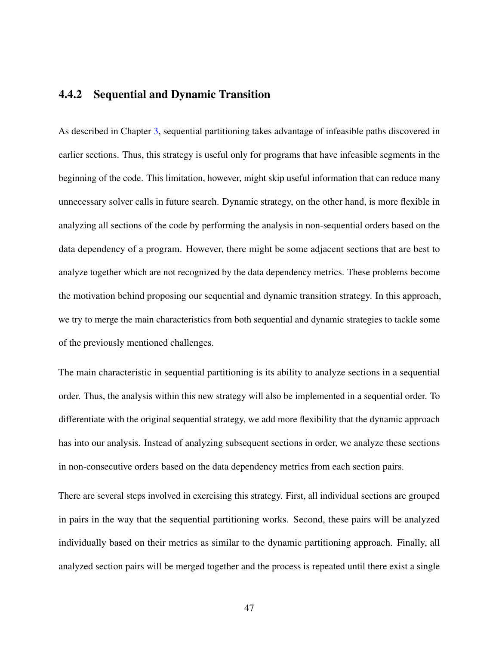#### 4.4.2 Sequential and Dynamic Transition

As described in Chapter [3,](#page-37-0) sequential partitioning takes advantage of infeasible paths discovered in earlier sections. Thus, this strategy is useful only for programs that have infeasible segments in the beginning of the code. This limitation, however, might skip useful information that can reduce many unnecessary solver calls in future search. Dynamic strategy, on the other hand, is more flexible in analyzing all sections of the code by performing the analysis in non-sequential orders based on the data dependency of a program. However, there might be some adjacent sections that are best to analyze together which are not recognized by the data dependency metrics. These problems become the motivation behind proposing our sequential and dynamic transition strategy. In this approach, we try to merge the main characteristics from both sequential and dynamic strategies to tackle some of the previously mentioned challenges.

The main characteristic in sequential partitioning is its ability to analyze sections in a sequential order. Thus, the analysis within this new strategy will also be implemented in a sequential order. To differentiate with the original sequential strategy, we add more flexibility that the dynamic approach has into our analysis. Instead of analyzing subsequent sections in order, we analyze these sections in non-consecutive orders based on the data dependency metrics from each section pairs.

There are several steps involved in exercising this strategy. First, all individual sections are grouped in pairs in the way that the sequential partitioning works. Second, these pairs will be analyzed individually based on their metrics as similar to the dynamic partitioning approach. Finally, all analyzed section pairs will be merged together and the process is repeated until there exist a single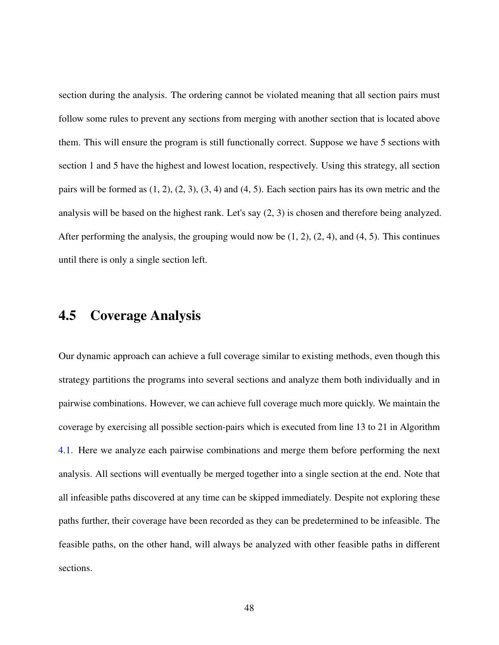section during the analysis. The ordering cannot be violated meaning that all section pairs must follow some rules to prevent any sections from merging with another section that is located above them. This will ensure the program is still functionally correct. Suppose we have 5 sections with section 1 and 5 have the highest and lowest location, respectively. Using this strategy, all section pairs will be formed as  $(1, 2)$ ,  $(2, 3)$ ,  $(3, 4)$  and  $(4, 5)$ . Each section pairs has its own metric and the analysis will be based on the highest rank. Let's say (2, 3) is chosen and therefore being analyzed. After performing the analysis, the grouping would now be  $(1, 2)$ ,  $(2, 4)$ , and  $(4, 5)$ . This continues until there is only a single section left.

## 4.5 Coverage Analysis

Our dynamic approach can achieve a full coverage similar to existing methods, even though this strategy partitions the programs into several sections and analyze them both individually and in pairwise combinations. However, we can achieve full coverage much more quickly. We maintain the coverage by exercising all possible section-pairs which is executed from line 13 to 21 in Algorithm [4.1.](#page-47-1) Here we analyze each pairwise combinations and merge them before performing the next analysis. All sections will eventually be merged together into a single section at the end. Note that all infeasible paths discovered at any time can be skipped immediately. Despite not exploring these paths further, their coverage have been recorded as they can be predetermined to be infeasible. The feasible paths, on the other hand, will always be analyzed with other feasible paths in different sections.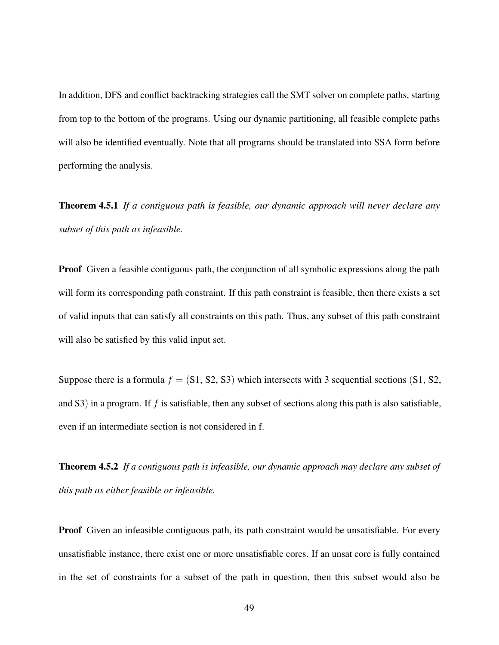In addition, DFS and conflict backtracking strategies call the SMT solver on complete paths, starting from top to the bottom of the programs. Using our dynamic partitioning, all feasible complete paths will also be identified eventually. Note that all programs should be translated into SSA form before performing the analysis.

Theorem 4.5.1 *If a contiguous path is feasible, our dynamic approach will never declare any subset of this path as infeasible.*

Proof Given a feasible contiguous path, the conjunction of all symbolic expressions along the path will form its corresponding path constraint. If this path constraint is feasible, then there exists a set of valid inputs that can satisfy all constraints on this path. Thus, any subset of this path constraint will also be satisfied by this valid input set.

Suppose there is a formula  $f = (S1, S2, S3)$  which intersects with 3 sequential sections (S1, S2, and S3) in a program. If f is satisfiable, then any subset of sections along this path is also satisfiable, even if an intermediate section is not considered in f.

Theorem 4.5.2 *If a contiguous path is infeasible, our dynamic approach may declare any subset of this path as either feasible or infeasible.*

Proof Given an infeasible contiguous path, its path constraint would be unsatisfiable. For every unsatisfiable instance, there exist one or more unsatisfiable cores. If an unsat core is fully contained in the set of constraints for a subset of the path in question, then this subset would also be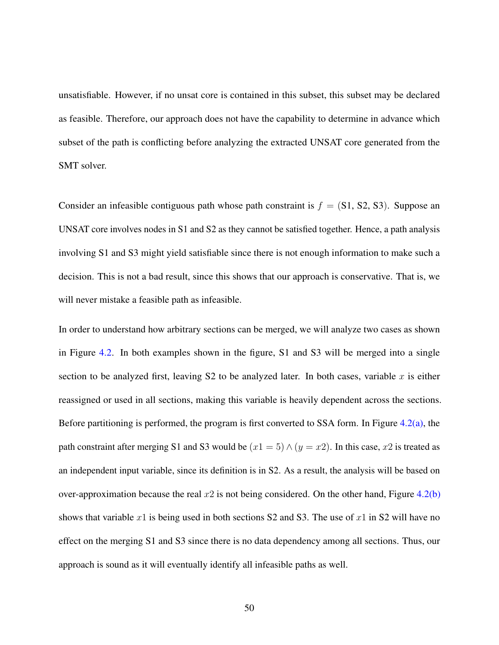unsatisfiable. However, if no unsat core is contained in this subset, this subset may be declared as feasible. Therefore, our approach does not have the capability to determine in advance which subset of the path is conflicting before analyzing the extracted UNSAT core generated from the SMT solver.

Consider an infeasible contiguous path whose path constraint is  $f = (S1, S2, S3)$ . Suppose an UNSAT core involves nodes in S1 and S2 as they cannot be satisfied together. Hence, a path analysis involving S1 and S3 might yield satisfiable since there is not enough information to make such a decision. This is not a bad result, since this shows that our approach is conservative. That is, we will never mistake a feasible path as infeasible.

In order to understand how arbitrary sections can be merged, we will analyze two cases as shown in Figure [4.2.](#page-60-0) In both examples shown in the figure, S1 and S3 will be merged into a single section to be analyzed first, leaving  $S2$  to be analyzed later. In both cases, variable x is either reassigned or used in all sections, making this variable is heavily dependent across the sections. Before partitioning is performed, the program is first converted to SSA form. In Figure  $4.2(a)$ , the path constraint after merging S1 and S3 would be  $(x1 = 5) \wedge (y = x2)$ . In this case, x2 is treated as an independent input variable, since its definition is in S2. As a result, the analysis will be based on over-approximation because the real  $x2$  is not being considered. On the other hand, Figure [4.2\(b\)](#page-60-2) shows that variable x1 is being used in both sections S2 and S3. The use of x1 in S2 will have no effect on the merging S1 and S3 since there is no data dependency among all sections. Thus, our approach is sound as it will eventually identify all infeasible paths as well.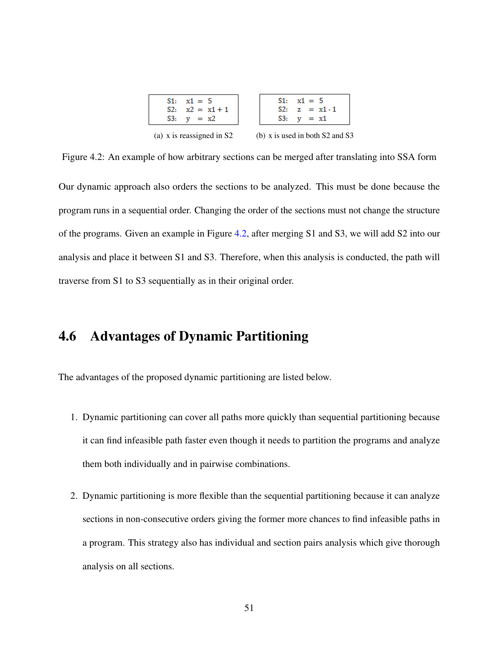<span id="page-60-2"></span>

| $S1: \quad x1 = 5$        | $S1: \quad x1 = 5$                  |
|---------------------------|-------------------------------------|
| S2: $x2 = x1 + 1$         | S2: $z = x1 - 1$                    |
| S3: $v = x2$              | $S3: y = x1$                        |
| (a) x is reassigned in S2 | (b) x is used in both $S2$ and $S3$ |

<span id="page-60-1"></span><span id="page-60-0"></span>Figure 4.2: An example of how arbitrary sections can be merged after translating into SSA form Our dynamic approach also orders the sections to be analyzed. This must be done because the program runs in a sequential order. Changing the order of the sections must not change the structure of the programs. Given an example in Figure [4.2,](#page-60-0) after merging S1 and S3, we will add S2 into our analysis and place it between S1 and S3. Therefore, when this analysis is conducted, the path will traverse from S1 to S3 sequentially as in their original order.

## 4.6 Advantages of Dynamic Partitioning

The advantages of the proposed dynamic partitioning are listed below.

- 1. Dynamic partitioning can cover all paths more quickly than sequential partitioning because it can find infeasible path faster even though it needs to partition the programs and analyze them both individually and in pairwise combinations.
- 2. Dynamic partitioning is more flexible than the sequential partitioning because it can analyze sections in non-consecutive orders giving the former more chances to find infeasible paths in a program. This strategy also has individual and section pairs analysis which give thorough analysis on all sections.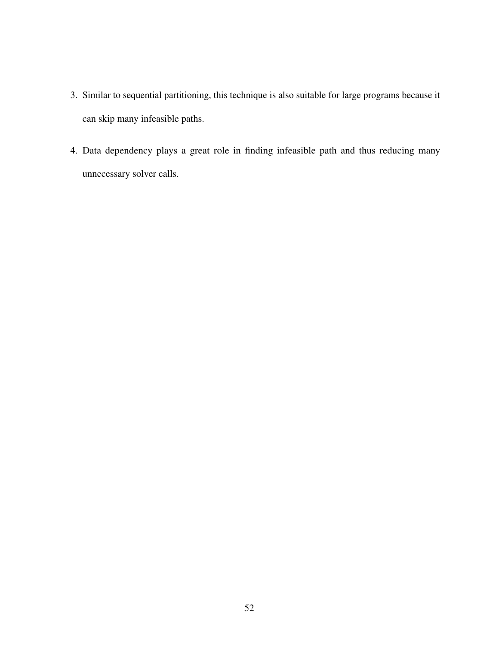- 3. Similar to sequential partitioning, this technique is also suitable for large programs because it can skip many infeasible paths.
- 4. Data dependency plays a great role in finding infeasible path and thus reducing many unnecessary solver calls.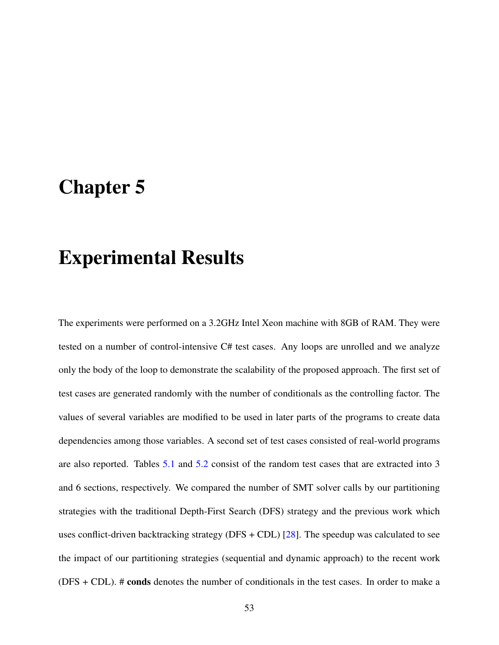# Chapter 5

# Experimental Results

The experiments were performed on a 3.2GHz Intel Xeon machine with 8GB of RAM. They were tested on a number of control-intensive C# test cases. Any loops are unrolled and we analyze only the body of the loop to demonstrate the scalability of the proposed approach. The first set of test cases are generated randomly with the number of conditionals as the controlling factor. The values of several variables are modified to be used in later parts of the programs to create data dependencies among those variables. A second set of test cases consisted of real-world programs are also reported. Tables [5.1](#page-64-0) and [5.2](#page-66-0) consist of the random test cases that are extracted into 3 and 6 sections, respectively. We compared the number of SMT solver calls by our partitioning strategies with the traditional Depth-First Search (DFS) strategy and the previous work which uses conflict-driven backtracking strategy (DFS + CDL) [ $28$ ]. The speedup was calculated to see the impact of our partitioning strategies (sequential and dynamic approach) to the recent work (DFS + CDL). # conds denotes the number of conditionals in the test cases. In order to make a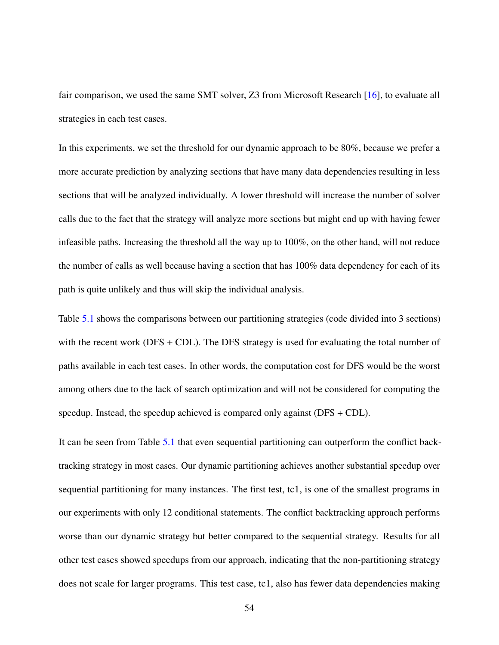fair comparison, we used the same SMT solver, Z3 from Microsoft Research [\[16\]](#page-77-1), to evaluate all strategies in each test cases.

In this experiments, we set the threshold for our dynamic approach to be 80%, because we prefer a more accurate prediction by analyzing sections that have many data dependencies resulting in less sections that will be analyzed individually. A lower threshold will increase the number of solver calls due to the fact that the strategy will analyze more sections but might end up with having fewer infeasible paths. Increasing the threshold all the way up to 100%, on the other hand, will not reduce the number of calls as well because having a section that has 100% data dependency for each of its path is quite unlikely and thus will skip the individual analysis.

Table [5.1](#page-64-0) shows the comparisons between our partitioning strategies (code divided into 3 sections) with the recent work (DFS + CDL). The DFS strategy is used for evaluating the total number of paths available in each test cases. In other words, the computation cost for DFS would be the worst among others due to the lack of search optimization and will not be considered for computing the speedup. Instead, the speedup achieved is compared only against (DFS + CDL).

It can be seen from Table [5.1](#page-64-0) that even sequential partitioning can outperform the conflict backtracking strategy in most cases. Our dynamic partitioning achieves another substantial speedup over sequential partitioning for many instances. The first test, tc1, is one of the smallest programs in our experiments with only 12 conditional statements. The conflict backtracking approach performs worse than our dynamic strategy but better compared to the sequential strategy. Results for all other test cases showed speedups from our approach, indicating that the non-partitioning strategy does not scale for larger programs. This test case, tc1, also has fewer data dependencies making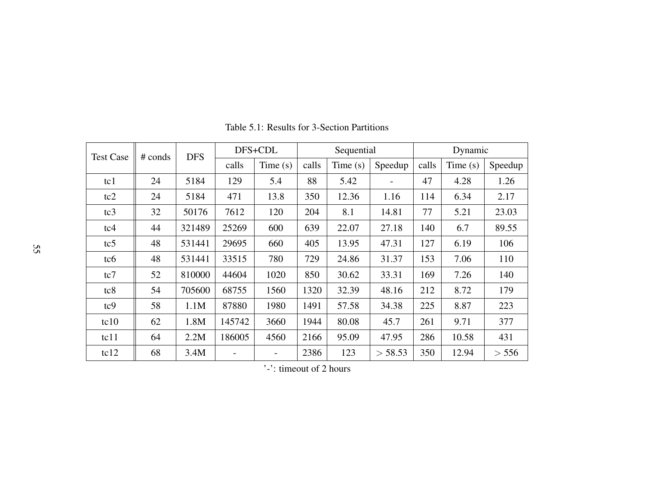| <b>Test Case</b> | $#$ conds | <b>DFS</b> |        | DFS+CDL |       | Sequential |         | Dynamic |         |         |  |
|------------------|-----------|------------|--------|---------|-------|------------|---------|---------|---------|---------|--|
|                  |           |            | calls  | Time(s) | calls | Time(s)    | Speedup | calls   | Time(s) | Speedup |  |
| tc1              | 24        | 5184       | 129    | 5.4     | 88    | 5.42       |         | 47      | 4.28    | 1.26    |  |
| tc2              | 24        | 5184       | 471    | 13.8    | 350   | 12.36      | 1.16    | 114     | 6.34    | 2.17    |  |
| tc3              | 32        | 50176      | 7612   | 120     | 204   | 8.1        | 14.81   | 77      | 5.21    | 23.03   |  |
| tc4              | 44        | 321489     | 25269  | 600     | 639   | 22.07      | 27.18   | 140     | 6.7     | 89.55   |  |
| tc <sub>5</sub>  | 48        | 531441     | 29695  | 660     | 405   | 13.95      | 47.31   | 127     | 6.19    | 106     |  |
| tc <sub>6</sub>  | 48        | 531441     | 33515  | 780     | 729   | 24.86      | 31.37   | 153     | 7.06    | 110     |  |
| tc7              | 52        | 810000     | 44604  | 1020    | 850   | 30.62      | 33.31   | 169     | 7.26    | 140     |  |
| tc8              | 54        | 705600     | 68755  | 1560    | 1320  | 32.39      | 48.16   | 212     | 8.72    | 179     |  |
| tc9              | 58        | 1.1M       | 87880  | 1980    | 1491  | 57.58      | 34.38   | 225     | 8.87    | 223     |  |
| tc10             | 62        | 1.8M       | 145742 | 3660    | 1944  | 80.08      | 45.7    | 261     | 9.71    | 377     |  |
| tc11             | 64        | 2.2M       | 186005 | 4560    | 2166  | 95.09      | 47.95   | 286     | 10.58   | 431     |  |
| tc12             | 68        | 3.4M       |        |         | 2386  | 123        | > 58.53 | 350     | 12.94   | > 556   |  |

Table 5.1: Results for 3-Section Partitions

<span id="page-64-0"></span>'-': timeout of 2 hours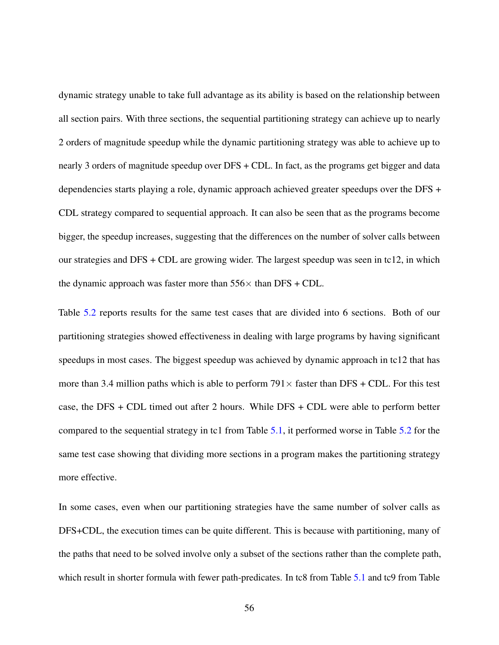dynamic strategy unable to take full advantage as its ability is based on the relationship between all section pairs. With three sections, the sequential partitioning strategy can achieve up to nearly 2 orders of magnitude speedup while the dynamic partitioning strategy was able to achieve up to nearly 3 orders of magnitude speedup over DFS + CDL. In fact, as the programs get bigger and data dependencies starts playing a role, dynamic approach achieved greater speedups over the DFS + CDL strategy compared to sequential approach. It can also be seen that as the programs become bigger, the speedup increases, suggesting that the differences on the number of solver calls between our strategies and DFS + CDL are growing wider. The largest speedup was seen in tc12, in which the dynamic approach was faster more than  $556\times$  than DFS + CDL.

Table [5.2](#page-66-0) reports results for the same test cases that are divided into 6 sections. Both of our partitioning strategies showed effectiveness in dealing with large programs by having significant speedups in most cases. The biggest speedup was achieved by dynamic approach in tc12 that has more than 3.4 million paths which is able to perform  $791 \times$  faster than DFS + CDL. For this test case, the DFS + CDL timed out after 2 hours. While DFS + CDL were able to perform better compared to the sequential strategy in tc1 from Table [5.1,](#page-64-0) it performed worse in Table [5.2](#page-66-0) for the same test case showing that dividing more sections in a program makes the partitioning strategy more effective.

In some cases, even when our partitioning strategies have the same number of solver calls as DFS+CDL, the execution times can be quite different. This is because with partitioning, many of the paths that need to be solved involve only a subset of the sections rather than the complete path, which result in shorter formula with fewer path-predicates. In tc8 from Table [5.1](#page-64-0) and tc9 from Table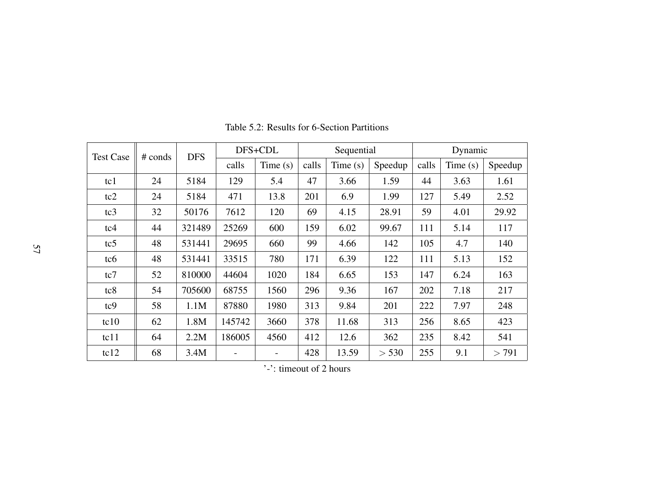| <b>Test Case</b> | # conds | <b>DFS</b> | DFS+CDL |         | Sequential |            |         | Dynamic |         |         |  |
|------------------|---------|------------|---------|---------|------------|------------|---------|---------|---------|---------|--|
|                  |         |            | calls   | Time(s) | calls      | Time $(s)$ | Speedup | calls   | Time(s) | Speedup |  |
| tc1              | 24      | 5184       | 129     | 5.4     | 47         | 3.66       | 1.59    | 44      | 3.63    | 1.61    |  |
| tc2              | 24      | 5184       | 471     | 13.8    | 201        | 6.9        | 1.99    | 127     | 5.49    | 2.52    |  |
| tc3              | 32      | 50176      | 7612    | 120     | 69         | 4.15       | 28.91   | 59      | 4.01    | 29.92   |  |
| tc4              | 44      | 321489     | 25269   | 600     | 159        | 6.02       | 99.67   | 111     | 5.14    | 117     |  |
| tc <sub>5</sub>  | 48      | 531441     | 29695   | 660     | 99         | 4.66       | 142     | 105     | 4.7     | 140     |  |
| tc <sub>6</sub>  | 48      | 531441     | 33515   | 780     | 171        | 6.39       | 122     | 111     | 5.13    | 152     |  |
| tc7              | 52      | 810000     | 44604   | 1020    | 184        | 6.65       | 153     | 147     | 6.24    | 163     |  |
| tc8              | 54      | 705600     | 68755   | 1560    | 296        | 9.36       | 167     | 202     | 7.18    | 217     |  |
| tc9              | 58      | 1.1M       | 87880   | 1980    | 313        | 9.84       | 201     | 222     | 7.97    | 248     |  |
| tc10             | 62      | 1.8M       | 145742  | 3660    | 378        | 11.68      | 313     | 256     | 8.65    | 423     |  |
| tc11             | 64      | 2.2M       | 186005  | 4560    | 412        | 12.6       | 362     | 235     | 8.42    | 541     |  |
| tc12             | 68      | 3.4M       |         |         | 428        | 13.59      | > 530   | 255     | 9.1     | > 791   |  |

Table 5.2: Results for 6-Section Partitions

<span id="page-66-0"></span>'-': timeout of 2 hours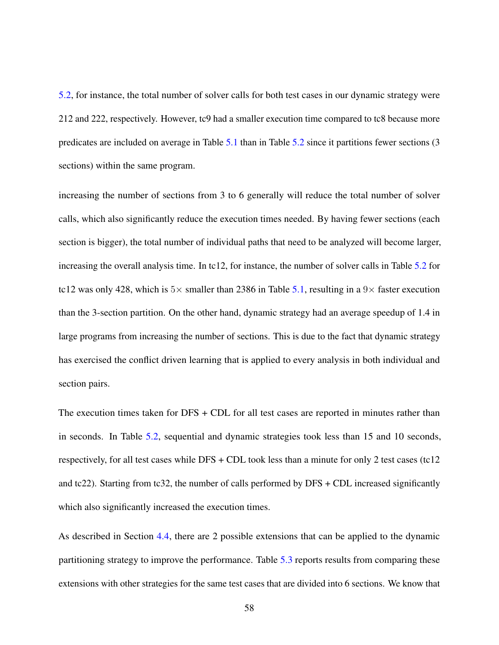[5.2,](#page-66-0) for instance, the total number of solver calls for both test cases in our dynamic strategy were 212 and 222, respectively. However, tc9 had a smaller execution time compared to tc8 because more predicates are included on average in Table [5.1](#page-64-0) than in Table [5.2](#page-66-0) since it partitions fewer sections (3 sections) within the same program.

increasing the number of sections from 3 to 6 generally will reduce the total number of solver calls, which also significantly reduce the execution times needed. By having fewer sections (each section is bigger), the total number of individual paths that need to be analyzed will become larger, increasing the overall analysis time. In tc12, for instance, the number of solver calls in Table [5.2](#page-66-0) for tc12 was only 428, which is  $5\times$  smaller than 2386 in Table [5.1,](#page-64-0) resulting in a 9 $\times$  faster execution than the 3-section partition. On the other hand, dynamic strategy had an average speedup of 1.4 in large programs from increasing the number of sections. This is due to the fact that dynamic strategy has exercised the conflict driven learning that is applied to every analysis in both individual and section pairs.

The execution times taken for DFS + CDL for all test cases are reported in minutes rather than in seconds. In Table [5.2,](#page-66-0) sequential and dynamic strategies took less than 15 and 10 seconds, respectively, for all test cases while DFS + CDL took less than a minute for only 2 test cases (tc12 and tc22). Starting from tc32, the number of calls performed by  $DFS + CDL$  increased significantly which also significantly increased the execution times.

As described in Section [4.4,](#page-53-0) there are 2 possible extensions that can be applied to the dynamic partitioning strategy to improve the performance. Table [5.3](#page-68-0) reports results from comparing these extensions with other strategies for the same test cases that are divided into 6 sections. We know that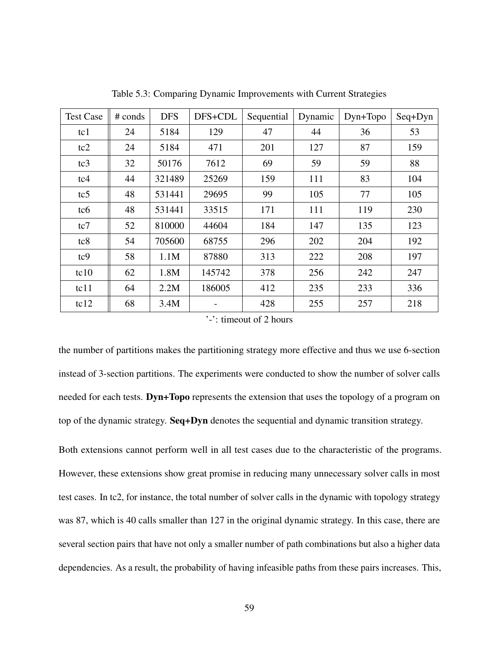<span id="page-68-0"></span>

| <b>Test Case</b> | $#$ conds | <b>DFS</b> | DFS+CDL | Sequential | Dynamic | $Dyn+Topo$ | Seq+Dyn |
|------------------|-----------|------------|---------|------------|---------|------------|---------|
| tc1              | 24        | 5184       | 129     | 47         | 44      | 36         | 53      |
| tc2              | 24        | 5184       | 471     | 201        | 127     | 87         | 159     |
| tc3              | 32        | 50176      | 7612    | 69         | 59      | 59         | 88      |
| tc4              | 44        | 321489     | 25269   | 159        | 111     | 83         | 104     |
| tc5              | 48        | 531441     | 29695   | 99         | 105     | 77         | 105     |
| tc <sub>6</sub>  | 48        | 531441     | 33515   | 171        | 111     | 119        | 230     |
| tc7              | 52        | 810000     | 44604   | 184        | 147     | 135        | 123     |
| tc8              | 54        | 705600     | 68755   | 296        | 202     | 204        | 192     |
| tc9              | 58        | 1.1M       | 87880   | 313        | 222     | 208        | 197     |
| tc10             | 62        | 1.8M       | 145742  | 378        | 256     | 242        | 247     |
| tc11             | 64        | 2.2M       | 186005  | 412        | 235     | 233        | 336     |
| tc12             | 68        | 3.4M       |         | 428        | 255     | 257        | 218     |

Table 5.3: Comparing Dynamic Improvements with Current Strategies

'-': timeout of 2 hours

the number of partitions makes the partitioning strategy more effective and thus we use 6-section instead of 3-section partitions. The experiments were conducted to show the number of solver calls needed for each tests. Dyn+Topo represents the extension that uses the topology of a program on top of the dynamic strategy. Seq+Dyn denotes the sequential and dynamic transition strategy.

Both extensions cannot perform well in all test cases due to the characteristic of the programs. However, these extensions show great promise in reducing many unnecessary solver calls in most test cases. In tc2, for instance, the total number of solver calls in the dynamic with topology strategy was 87, which is 40 calls smaller than 127 in the original dynamic strategy. In this case, there are several section pairs that have not only a smaller number of path combinations but also a higher data dependencies. As a result, the probability of having infeasible paths from these pairs increases. This,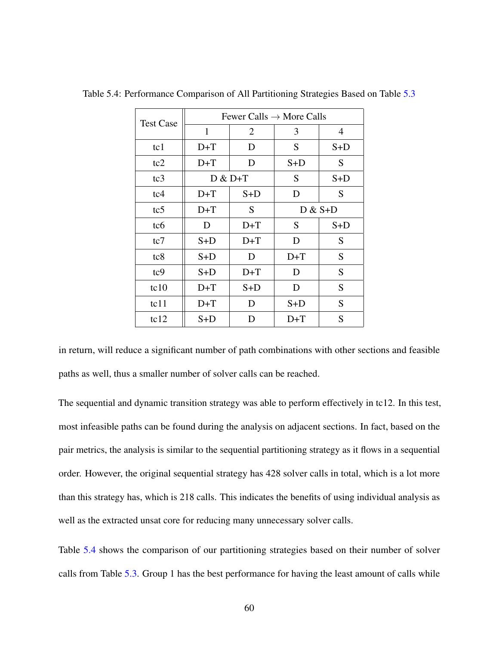| <b>Test Case</b> | Fewer Calls $\rightarrow$ More Calls |                |           |       |  |  |  |  |  |
|------------------|--------------------------------------|----------------|-----------|-------|--|--|--|--|--|
|                  | $\mathbf{1}$                         | $\overline{2}$ | 3         | 4     |  |  |  |  |  |
| tc1              | $D+T$                                | D              | S         | $S+D$ |  |  |  |  |  |
| tc2              | $D+T$                                | D              | $S+D$     | S     |  |  |  |  |  |
| tc3              |                                      | $D & D+T$      | S         | $S+D$ |  |  |  |  |  |
| tc4              | $D+T$                                |                | D         | S     |  |  |  |  |  |
| tc <sub>5</sub>  | $D+T$                                | S              | $D & S+D$ |       |  |  |  |  |  |
| tc <sub>6</sub>  | D                                    | $D+T$          | S         | S+D   |  |  |  |  |  |
| tc7              | S+D                                  | $D+T$          | D         | S     |  |  |  |  |  |
| tc8              | S+D                                  | D              | $D+T$     | S     |  |  |  |  |  |
| tc9              | S+D                                  | $D+T$          | D         | S     |  |  |  |  |  |
| tc10             | $D+T$                                | $S+D$          | D         | S     |  |  |  |  |  |
| tc11             | $D+T$                                | D              | $S+D$     | S     |  |  |  |  |  |
| tc12             | S+D                                  | D              | $D+T$     | S     |  |  |  |  |  |

<span id="page-69-0"></span>Table 5.4: Performance Comparison of All Partitioning Strategies Based on Table [5.3](#page-68-0)

in return, will reduce a significant number of path combinations with other sections and feasible paths as well, thus a smaller number of solver calls can be reached.

The sequential and dynamic transition strategy was able to perform effectively in tc12. In this test, most infeasible paths can be found during the analysis on adjacent sections. In fact, based on the pair metrics, the analysis is similar to the sequential partitioning strategy as it flows in a sequential order. However, the original sequential strategy has 428 solver calls in total, which is a lot more than this strategy has, which is 218 calls. This indicates the benefits of using individual analysis as well as the extracted unsat core for reducing many unnecessary solver calls.

Table [5.4](#page-69-0) shows the comparison of our partitioning strategies based on their number of solver calls from Table [5.3.](#page-68-0) Group 1 has the best performance for having the least amount of calls while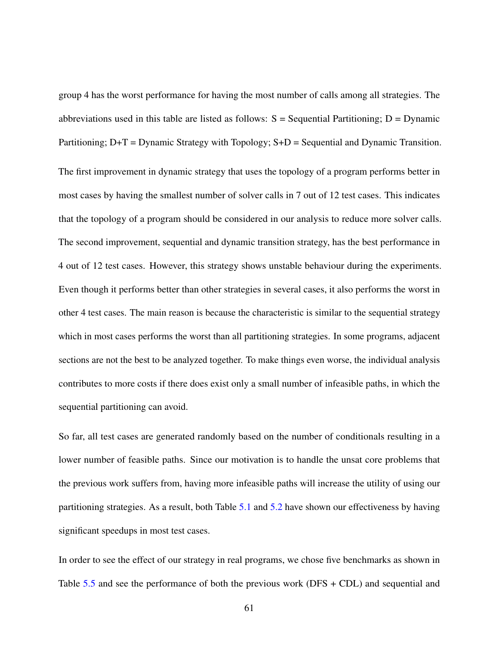group 4 has the worst performance for having the most number of calls among all strategies. The abbreviations used in this table are listed as follows:  $S =$  Sequential Partitioning;  $D =$  Dynamic Partitioning;  $D+T = D$ ynamic Strategy with Topology;  $S+D =$  Sequential and Dynamic Transition. The first improvement in dynamic strategy that uses the topology of a program performs better in most cases by having the smallest number of solver calls in 7 out of 12 test cases. This indicates that the topology of a program should be considered in our analysis to reduce more solver calls. The second improvement, sequential and dynamic transition strategy, has the best performance in 4 out of 12 test cases. However, this strategy shows unstable behaviour during the experiments. Even though it performs better than other strategies in several cases, it also performs the worst in other 4 test cases. The main reason is because the characteristic is similar to the sequential strategy which in most cases performs the worst than all partitioning strategies. In some programs, adjacent sections are not the best to be analyzed together. To make things even worse, the individual analysis contributes to more costs if there does exist only a small number of infeasible paths, in which the sequential partitioning can avoid.

So far, all test cases are generated randomly based on the number of conditionals resulting in a lower number of feasible paths. Since our motivation is to handle the unsat core problems that the previous work suffers from, having more infeasible paths will increase the utility of using our partitioning strategies. As a result, both Table [5.1](#page-64-0) and [5.2](#page-66-0) have shown our effectiveness by having significant speedups in most test cases.

In order to see the effect of our strategy in real programs, we chose five benchmarks as shown in Table  $5.5$  and see the performance of both the previous work (DFS + CDL) and sequential and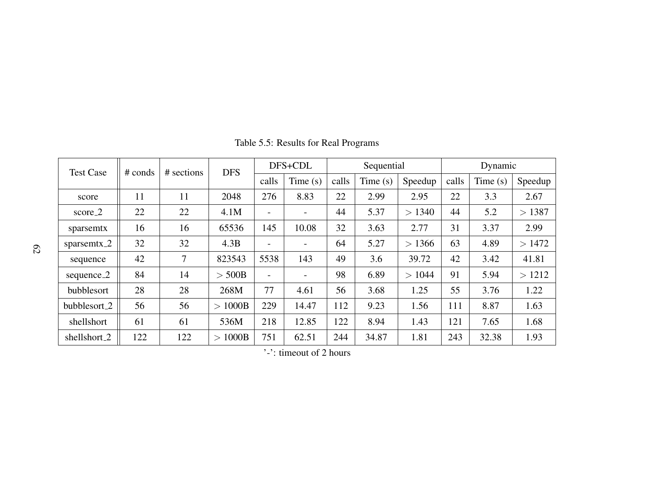| <b>Test Case</b>      | $#$ conds | # sections     | <b>DFS</b> | DFS+CDL |                          | Sequential |         |         | Dynamic |         |         |
|-----------------------|-----------|----------------|------------|---------|--------------------------|------------|---------|---------|---------|---------|---------|
|                       |           |                |            | calls   | Time $(s)$               | calls      | Time(s) | Speedup | calls   | Time(s) | Speedup |
| score                 | 11        | 11             | 2048       | 276     | 8.83                     | 22         | 2.99    | 2.95    | 22      | 3.3     | 2.67    |
| $score_2$             | 22        | 22             | 4.1M       |         |                          | 44         | 5.37    | > 1340  | 44      | 5.2     | >1387   |
| sparsemtx             | 16        | 16             | 65536      | 145     | 10.08                    | 32         | 3.63    | 2.77    | 31      | 3.37    | 2.99    |
| sparsemtx $2$         | 32        | 32             | 4.3B       |         |                          | 64         | 5.27    | > 1366  | 63      | 4.89    | >1472   |
| sequence              | 42        | $\overline{7}$ | 823543     | 5538    | 143                      | 49         | 3.6     | 39.72   | 42      | 3.42    | 41.81   |
| sequence <sub>2</sub> | 84        | 14             | $>$ 500B   |         | $\overline{\phantom{a}}$ | 98         | 6.89    | >1044   | 91      | 5.94    | >1212   |
| bubblesort            | 28        | 28             | 268M       | 77      | 4.61                     | 56         | 3.68    | 1.25    | 55      | 3.76    | 1.22    |
| bubblesort_2          | 56        | 56             | >1000B     | 229     | 14.47                    | 112        | 9.23    | 1.56    | 111     | 8.87    | 1.63    |
| shellshort            | 61        | 61             | 536M       | 218     | 12.85                    | 122        | 8.94    | 1.43    | 121     | 7.65    | 1.68    |
| shellshort_2          | 122       | 122            | >1000B     | 751     | 62.51                    | 244        | 34.87   | 1.81    | 243     | 32.38   | 1.93    |

Table 5.5: Results for Real Programs

<span id="page-71-0"></span>'-': timeout of 2 hours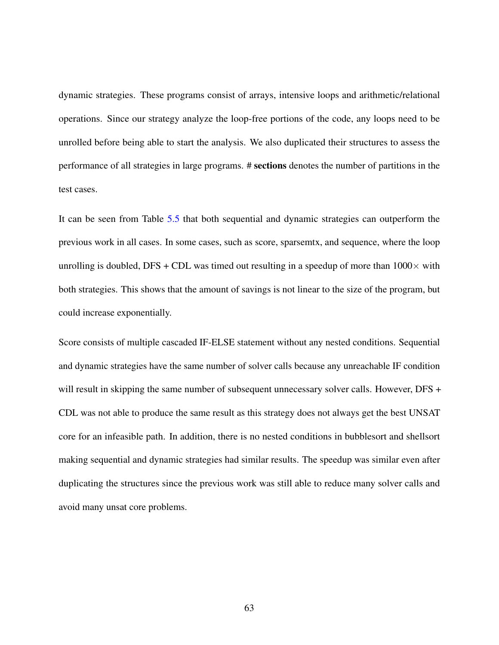dynamic strategies. These programs consist of arrays, intensive loops and arithmetic/relational operations. Since our strategy analyze the loop-free portions of the code, any loops need to be unrolled before being able to start the analysis. We also duplicated their structures to assess the performance of all strategies in large programs. # sections denotes the number of partitions in the test cases.

It can be seen from Table [5.5](#page-71-0) that both sequential and dynamic strategies can outperform the previous work in all cases. In some cases, such as score, sparsemtx, and sequence, where the loop unrolling is doubled, DFS + CDL was timed out resulting in a speedup of more than  $1000 \times$  with both strategies. This shows that the amount of savings is not linear to the size of the program, but could increase exponentially.

Score consists of multiple cascaded IF-ELSE statement without any nested conditions. Sequential and dynamic strategies have the same number of solver calls because any unreachable IF condition will result in skipping the same number of subsequent unnecessary solver calls. However, DFS + CDL was not able to produce the same result as this strategy does not always get the best UNSAT core for an infeasible path. In addition, there is no nested conditions in bubblesort and shellsort making sequential and dynamic strategies had similar results. The speedup was similar even after duplicating the structures since the previous work was still able to reduce many solver calls and avoid many unsat core problems.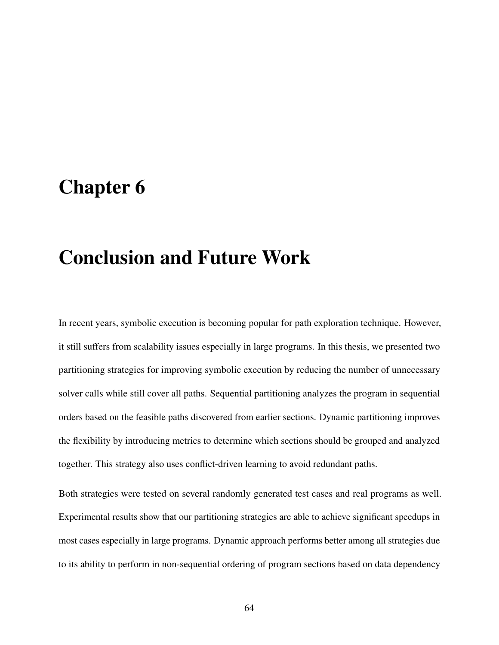## Chapter 6

## Conclusion and Future Work

In recent years, symbolic execution is becoming popular for path exploration technique. However, it still suffers from scalability issues especially in large programs. In this thesis, we presented two partitioning strategies for improving symbolic execution by reducing the number of unnecessary solver calls while still cover all paths. Sequential partitioning analyzes the program in sequential orders based on the feasible paths discovered from earlier sections. Dynamic partitioning improves the flexibility by introducing metrics to determine which sections should be grouped and analyzed together. This strategy also uses conflict-driven learning to avoid redundant paths.

Both strategies were tested on several randomly generated test cases and real programs as well. Experimental results show that our partitioning strategies are able to achieve significant speedups in most cases especially in large programs. Dynamic approach performs better among all strategies due to its ability to perform in non-sequential ordering of program sections based on data dependency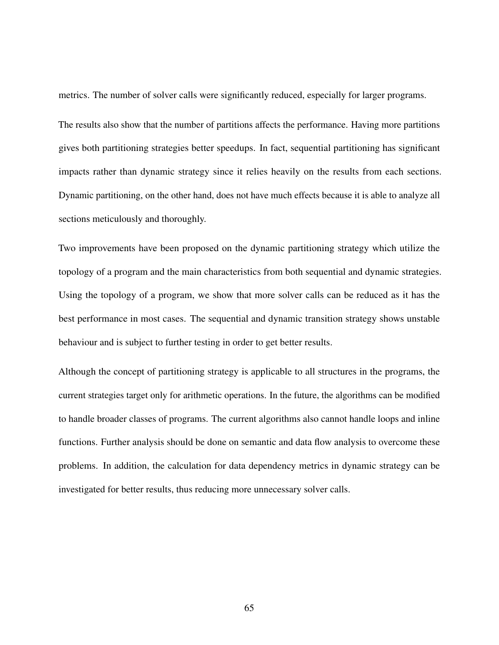metrics. The number of solver calls were significantly reduced, especially for larger programs.

The results also show that the number of partitions affects the performance. Having more partitions gives both partitioning strategies better speedups. In fact, sequential partitioning has significant impacts rather than dynamic strategy since it relies heavily on the results from each sections. Dynamic partitioning, on the other hand, does not have much effects because it is able to analyze all sections meticulously and thoroughly.

Two improvements have been proposed on the dynamic partitioning strategy which utilize the topology of a program and the main characteristics from both sequential and dynamic strategies. Using the topology of a program, we show that more solver calls can be reduced as it has the best performance in most cases. The sequential and dynamic transition strategy shows unstable behaviour and is subject to further testing in order to get better results.

Although the concept of partitioning strategy is applicable to all structures in the programs, the current strategies target only for arithmetic operations. In the future, the algorithms can be modified to handle broader classes of programs. The current algorithms also cannot handle loops and inline functions. Further analysis should be done on semantic and data flow analysis to overcome these problems. In addition, the calculation for data dependency metrics in dynamic strategy can be investigated for better results, thus reducing more unnecessary solver calls.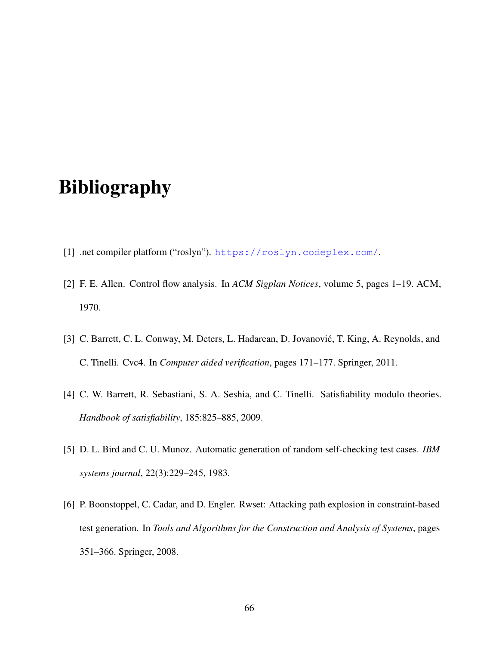## Bibliography

- [1] .net compiler platform ("roslyn"). <https://roslyn.codeplex.com/>.
- [2] F. E. Allen. Control flow analysis. In *ACM Sigplan Notices*, volume 5, pages 1–19. ACM, 1970.
- [3] C. Barrett, C. L. Conway, M. Deters, L. Hadarean, D. Jovanović, T. King, A. Reynolds, and C. Tinelli. Cvc4. In *Computer aided verification*, pages 171–177. Springer, 2011.
- [4] C. W. Barrett, R. Sebastiani, S. A. Seshia, and C. Tinelli. Satisfiability modulo theories. *Handbook of satisfiability*, 185:825–885, 2009.
- [5] D. L. Bird and C. U. Munoz. Automatic generation of random self-checking test cases. *IBM systems journal*, 22(3):229–245, 1983.
- [6] P. Boonstoppel, C. Cadar, and D. Engler. Rwset: Attacking path explosion in constraint-based test generation. In *Tools and Algorithms for the Construction and Analysis of Systems*, pages 351–366. Springer, 2008.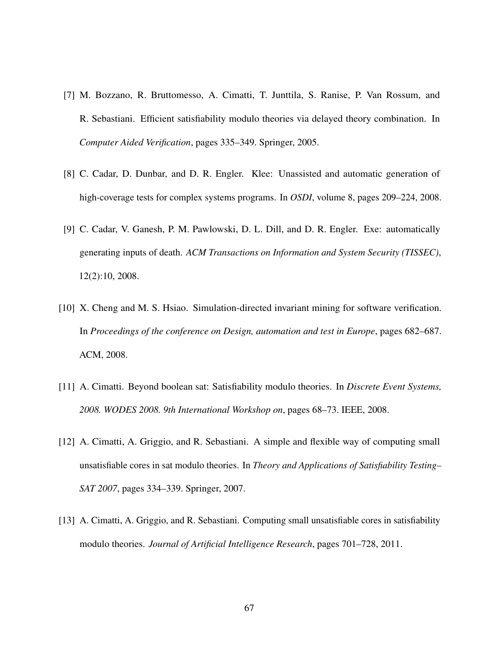- [7] M. Bozzano, R. Bruttomesso, A. Cimatti, T. Junttila, S. Ranise, P. Van Rossum, and R. Sebastiani. Efficient satisfiability modulo theories via delayed theory combination. In *Computer Aided Verification*, pages 335–349. Springer, 2005.
- [8] C. Cadar, D. Dunbar, and D. R. Engler. Klee: Unassisted and automatic generation of high-coverage tests for complex systems programs. In *OSDI*, volume 8, pages 209–224, 2008.
- [9] C. Cadar, V. Ganesh, P. M. Pawlowski, D. L. Dill, and D. R. Engler. Exe: automatically generating inputs of death. *ACM Transactions on Information and System Security (TISSEC)*, 12(2):10, 2008.
- [10] X. Cheng and M. S. Hsiao. Simulation-directed invariant mining for software verification. In *Proceedings of the conference on Design, automation and test in Europe*, pages 682–687. ACM, 2008.
- [11] A. Cimatti. Beyond boolean sat: Satisfiability modulo theories. In *Discrete Event Systems, 2008. WODES 2008. 9th International Workshop on*, pages 68–73. IEEE, 2008.
- [12] A. Cimatti, A. Griggio, and R. Sebastiani. A simple and flexible way of computing small unsatisfiable cores in sat modulo theories. In *Theory and Applications of Satisfiability Testing– SAT 2007*, pages 334–339. Springer, 2007.
- [13] A. Cimatti, A. Griggio, and R. Sebastiani. Computing small unsatisfiable cores in satisfiability modulo theories. *Journal of Artificial Intelligence Research*, pages 701–728, 2011.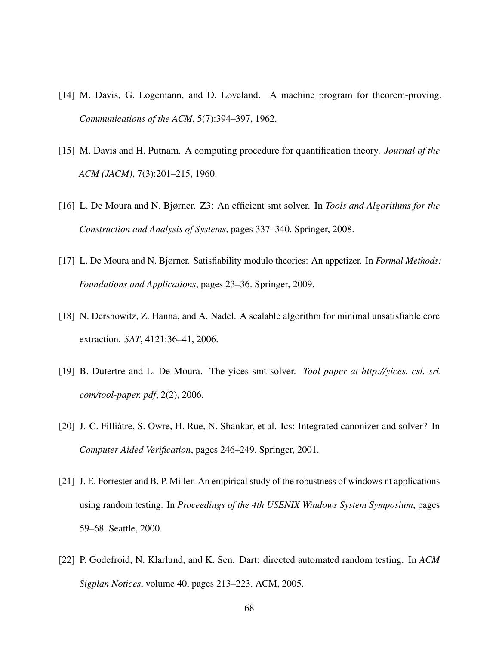- [14] M. Davis, G. Logemann, and D. Loveland. A machine program for theorem-proving. *Communications of the ACM*, 5(7):394–397, 1962.
- [15] M. Davis and H. Putnam. A computing procedure for quantification theory. *Journal of the ACM (JACM)*, 7(3):201–215, 1960.
- [16] L. De Moura and N. Bjørner. Z3: An efficient smt solver. In *Tools and Algorithms for the Construction and Analysis of Systems*, pages 337–340. Springer, 2008.
- [17] L. De Moura and N. Bjørner. Satisfiability modulo theories: An appetizer. In *Formal Methods: Foundations and Applications*, pages 23–36. Springer, 2009.
- [18] N. Dershowitz, Z. Hanna, and A. Nadel. A scalable algorithm for minimal unsatisfiable core extraction. *SAT*, 4121:36–41, 2006.
- [19] B. Dutertre and L. De Moura. The yices smt solver. *Tool paper at http://yices. csl. sri. com/tool-paper. pdf*, 2(2), 2006.
- [20] J.-C. Filliâtre, S. Owre, H. Rue, N. Shankar, et al. Ics: Integrated canonizer and solver? In *Computer Aided Verification*, pages 246–249. Springer, 2001.
- [21] J. E. Forrester and B. P. Miller. An empirical study of the robustness of windows nt applications using random testing. In *Proceedings of the 4th USENIX Windows System Symposium*, pages 59–68. Seattle, 2000.
- [22] P. Godefroid, N. Klarlund, and K. Sen. Dart: directed automated random testing. In *ACM Sigplan Notices*, volume 40, pages 213–223. ACM, 2005.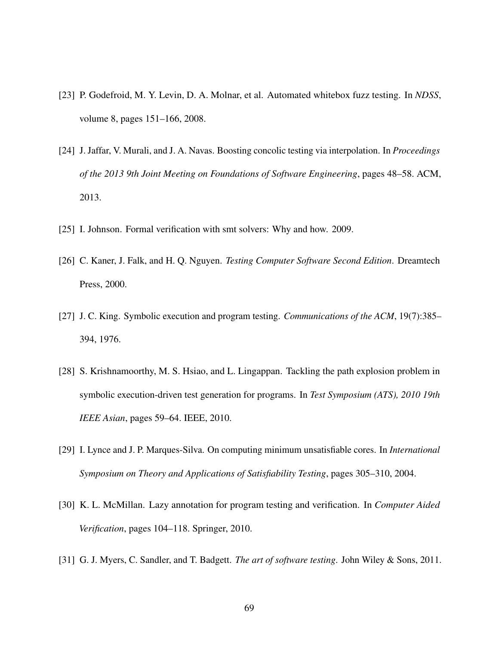- [23] P. Godefroid, M. Y. Levin, D. A. Molnar, et al. Automated whitebox fuzz testing. In *NDSS*, volume 8, pages 151–166, 2008.
- [24] J. Jaffar, V. Murali, and J. A. Navas. Boosting concolic testing via interpolation. In *Proceedings of the 2013 9th Joint Meeting on Foundations of Software Engineering*, pages 48–58. ACM, 2013.
- [25] I. Johnson. Formal verification with smt solvers: Why and how. 2009.
- [26] C. Kaner, J. Falk, and H. Q. Nguyen. *Testing Computer Software Second Edition*. Dreamtech Press, 2000.
- [27] J. C. King. Symbolic execution and program testing. *Communications of the ACM*, 19(7):385– 394, 1976.
- [28] S. Krishnamoorthy, M. S. Hsiao, and L. Lingappan. Tackling the path explosion problem in symbolic execution-driven test generation for programs. In *Test Symposium (ATS), 2010 19th IEEE Asian*, pages 59–64. IEEE, 2010.
- [29] I. Lynce and J. P. Marques-Silva. On computing minimum unsatisfiable cores. In *International Symposium on Theory and Applications of Satisfiability Testing*, pages 305–310, 2004.
- [30] K. L. McMillan. Lazy annotation for program testing and verification. In *Computer Aided Verification*, pages 104–118. Springer, 2010.
- [31] G. J. Myers, C. Sandler, and T. Badgett. *The art of software testing*. John Wiley & Sons, 2011.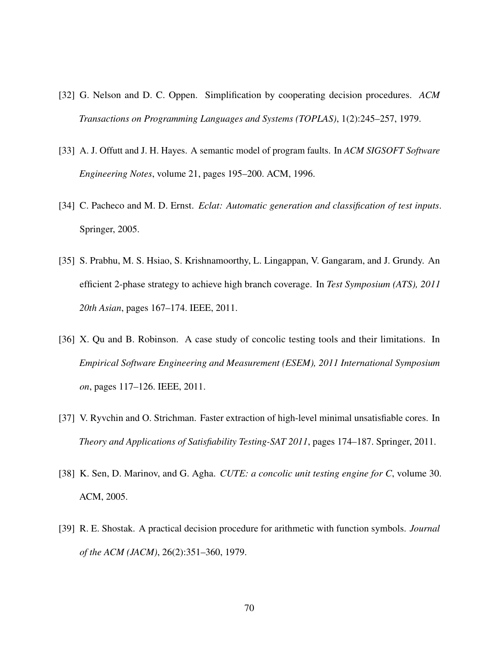- [32] G. Nelson and D. C. Oppen. Simplification by cooperating decision procedures. *ACM Transactions on Programming Languages and Systems (TOPLAS)*, 1(2):245–257, 1979.
- [33] A. J. Offutt and J. H. Hayes. A semantic model of program faults. In *ACM SIGSOFT Software Engineering Notes*, volume 21, pages 195–200. ACM, 1996.
- [34] C. Pacheco and M. D. Ernst. *Eclat: Automatic generation and classification of test inputs*. Springer, 2005.
- [35] S. Prabhu, M. S. Hsiao, S. Krishnamoorthy, L. Lingappan, V. Gangaram, and J. Grundy. An efficient 2-phase strategy to achieve high branch coverage. In *Test Symposium (ATS), 2011 20th Asian*, pages 167–174. IEEE, 2011.
- [36] X. Qu and B. Robinson. A case study of concolic testing tools and their limitations. In *Empirical Software Engineering and Measurement (ESEM), 2011 International Symposium on*, pages 117–126. IEEE, 2011.
- [37] V. Ryvchin and O. Strichman. Faster extraction of high-level minimal unsatisfiable cores. In *Theory and Applications of Satisfiability Testing-SAT 2011*, pages 174–187. Springer, 2011.
- [38] K. Sen, D. Marinov, and G. Agha. *CUTE: a concolic unit testing engine for C*, volume 30. ACM, 2005.
- [39] R. E. Shostak. A practical decision procedure for arithmetic with function symbols. *Journal of the ACM (JACM)*, 26(2):351–360, 1979.